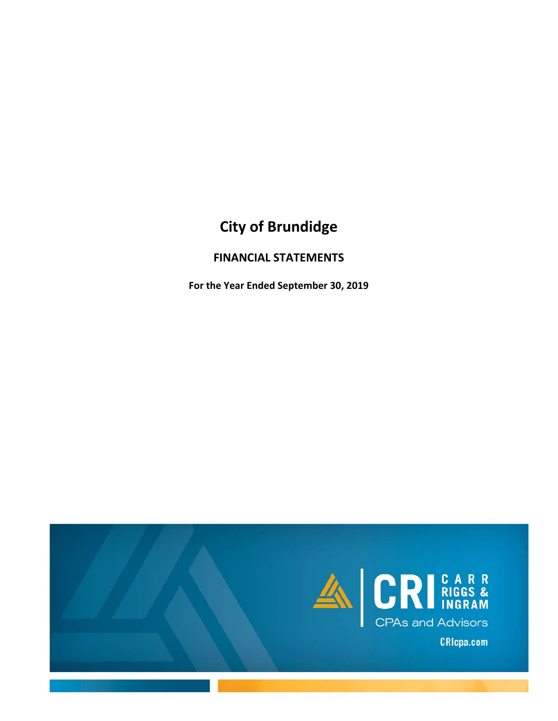# **City of Brundidge**

# **FINANCIAL STATEMENTS**

**For the Year Ended September 30, 2019** 

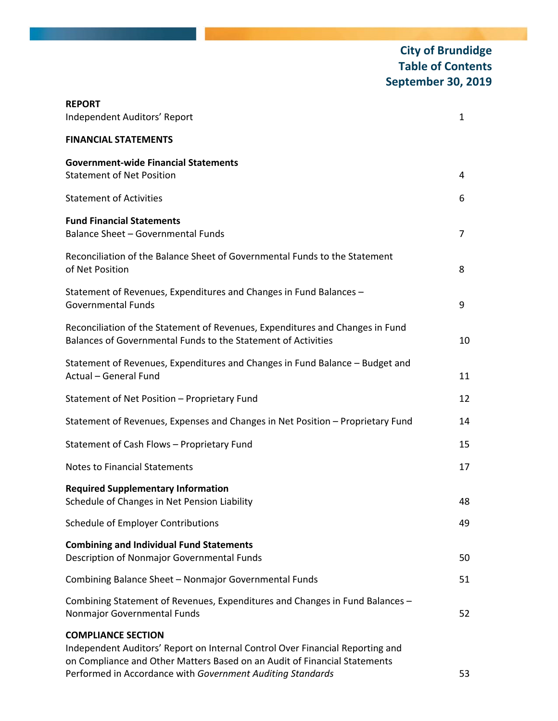# **City of Brundidge Table of Contents September 30, 2019**

| <b>REPORT</b><br>Independent Auditors' Report                                                                                                                                                                                                         | 1              |
|-------------------------------------------------------------------------------------------------------------------------------------------------------------------------------------------------------------------------------------------------------|----------------|
| <b>FINANCIAL STATEMENTS</b>                                                                                                                                                                                                                           |                |
| <b>Government-wide Financial Statements</b>                                                                                                                                                                                                           |                |
| <b>Statement of Net Position</b>                                                                                                                                                                                                                      | 4              |
| <b>Statement of Activities</b>                                                                                                                                                                                                                        | 6              |
| <b>Fund Financial Statements</b><br>Balance Sheet - Governmental Funds                                                                                                                                                                                | $\overline{7}$ |
| Reconciliation of the Balance Sheet of Governmental Funds to the Statement<br>of Net Position                                                                                                                                                         | 8              |
| Statement of Revenues, Expenditures and Changes in Fund Balances -<br><b>Governmental Funds</b>                                                                                                                                                       | 9              |
| Reconciliation of the Statement of Revenues, Expenditures and Changes in Fund<br>Balances of Governmental Funds to the Statement of Activities                                                                                                        | 10             |
| Statement of Revenues, Expenditures and Changes in Fund Balance - Budget and<br>Actual - General Fund                                                                                                                                                 | 11             |
| Statement of Net Position - Proprietary Fund                                                                                                                                                                                                          | 12             |
| Statement of Revenues, Expenses and Changes in Net Position - Proprietary Fund                                                                                                                                                                        | 14             |
| Statement of Cash Flows - Proprietary Fund                                                                                                                                                                                                            | 15             |
| <b>Notes to Financial Statements</b>                                                                                                                                                                                                                  | 17             |
| <b>Required Supplementary Information</b><br>Schedule of Changes in Net Pension Liability                                                                                                                                                             | 48             |
| <b>Schedule of Employer Contributions</b>                                                                                                                                                                                                             | 49             |
| <b>Combining and Individual Fund Statements</b><br>Description of Nonmajor Governmental Funds                                                                                                                                                         | 50             |
| Combining Balance Sheet - Nonmajor Governmental Funds                                                                                                                                                                                                 | 51             |
| Combining Statement of Revenues, Expenditures and Changes in Fund Balances -<br>Nonmajor Governmental Funds                                                                                                                                           | 52             |
| <b>COMPLIANCE SECTION</b><br>Independent Auditors' Report on Internal Control Over Financial Reporting and<br>on Compliance and Other Matters Based on an Audit of Financial Statements<br>Performed in Accordance with Government Auditing Standards | 53             |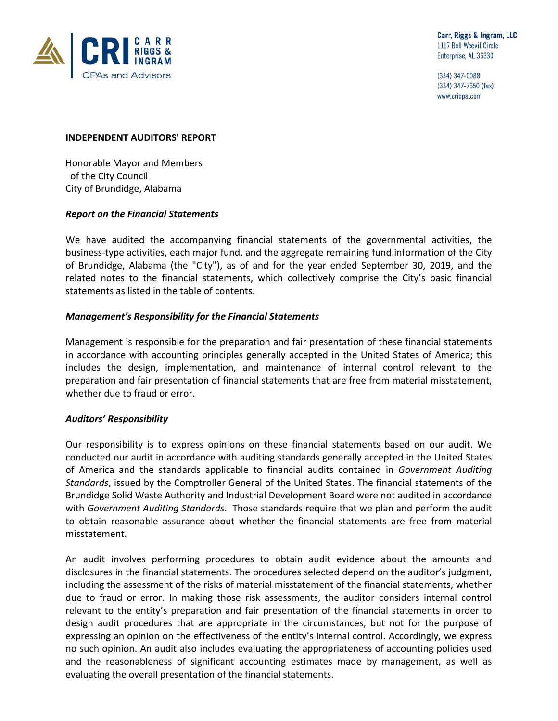

Carr, Riggs & Ingram, LLC 1117 Boll Weevil Circle Enterprise, AL 36330

(334) 347-0088 (334) 347-7650 (fax) www.cricpa.com

### **INDEPENDENT AUDITORS' REPORT**

Honorable Mayor and Members of the City Council City of Brundidge, Alabama

### *Report on the Financial Statements*

We have audited the accompanying financial statements of the governmental activities, the business‐type activities, each major fund, and the aggregate remaining fund information of the City of Brundidge, Alabama (the "City"), as of and for the year ended September 30, 2019, and the related notes to the financial statements, which collectively comprise the City's basic financial statements as listed in the table of contents.

### *Management's Responsibility for the Financial Statements*

Management is responsible for the preparation and fair presentation of these financial statements in accordance with accounting principles generally accepted in the United States of America; this includes the design, implementation, and maintenance of internal control relevant to the preparation and fair presentation of financial statements that are free from material misstatement, whether due to fraud or error.

### *Auditors' Responsibility*

Our responsibility is to express opinions on these financial statements based on our audit. We conducted our audit in accordance with auditing standards generally accepted in the United States of America and the standards applicable to financial audits contained in *Government Auditing Standards*, issued by the Comptroller General of the United States. The financial statements of the Brundidge Solid Waste Authority and Industrial Development Board were not audited in accordance with *Government Auditing Standards*. Those standards require that we plan and perform the audit to obtain reasonable assurance about whether the financial statements are free from material misstatement.

An audit involves performing procedures to obtain audit evidence about the amounts and disclosures in the financial statements. The procedures selected depend on the auditor's judgment, including the assessment of the risks of material misstatement of the financial statements, whether due to fraud or error. In making those risk assessments, the auditor considers internal control relevant to the entity's preparation and fair presentation of the financial statements in order to design audit procedures that are appropriate in the circumstances, but not for the purpose of expressing an opinion on the effectiveness of the entity's internal control. Accordingly, we express no such opinion. An audit also includes evaluating the appropriateness of accounting policies used and the reasonableness of significant accounting estimates made by management, as well as evaluating the overall presentation of the financial statements.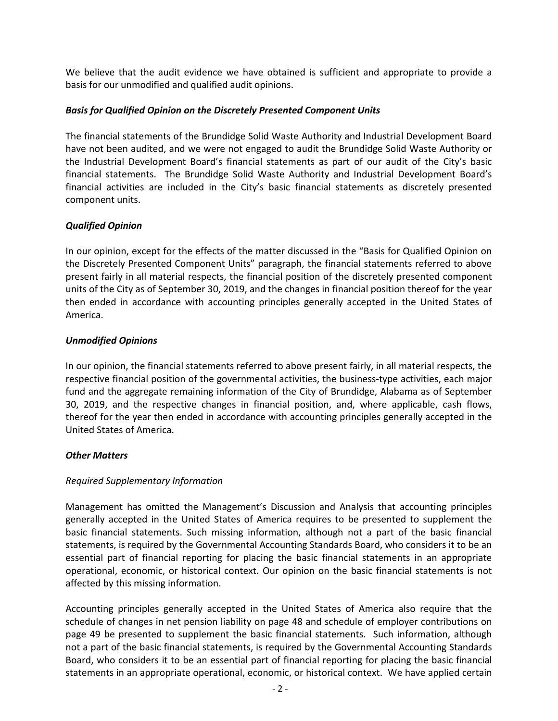We believe that the audit evidence we have obtained is sufficient and appropriate to provide a basis for our unmodified and qualified audit opinions.

### *Basis for Qualified Opinion on the Discretely Presented Component Units*

The financial statements of the Brundidge Solid Waste Authority and Industrial Development Board have not been audited, and we were not engaged to audit the Brundidge Solid Waste Authority or the Industrial Development Board's financial statements as part of our audit of the City's basic financial statements. The Brundidge Solid Waste Authority and Industrial Development Board's financial activities are included in the City's basic financial statements as discretely presented component units.

### *Qualified Opinion*

In our opinion, except for the effects of the matter discussed in the "Basis for Qualified Opinion on the Discretely Presented Component Units" paragraph, the financial statements referred to above present fairly in all material respects, the financial position of the discretely presented component units of the City as of September 30, 2019, and the changes in financial position thereof for the year then ended in accordance with accounting principles generally accepted in the United States of America.

### *Unmodified Opinions*

In our opinion, the financial statements referred to above present fairly, in all material respects, the respective financial position of the governmental activities, the business-type activities, each major fund and the aggregate remaining information of the City of Brundidge, Alabama as of September 30, 2019, and the respective changes in financial position, and, where applicable, cash flows, thereof for the year then ended in accordance with accounting principles generally accepted in the United States of America.

### *Other Matters*

### *Required Supplementary Information*

Management has omitted the Management's Discussion and Analysis that accounting principles generally accepted in the United States of America requires to be presented to supplement the basic financial statements. Such missing information, although not a part of the basic financial statements, is required by the Governmental Accounting Standards Board, who considers it to be an essential part of financial reporting for placing the basic financial statements in an appropriate operational, economic, or historical context. Our opinion on the basic financial statements is not affected by this missing information.

Accounting principles generally accepted in the United States of America also require that the schedule of changes in net pension liability on page 48 and schedule of employer contributions on page 49 be presented to supplement the basic financial statements. Such information, although not a part of the basic financial statements, is required by the Governmental Accounting Standards Board, who considers it to be an essential part of financial reporting for placing the basic financial statements in an appropriate operational, economic, or historical context. We have applied certain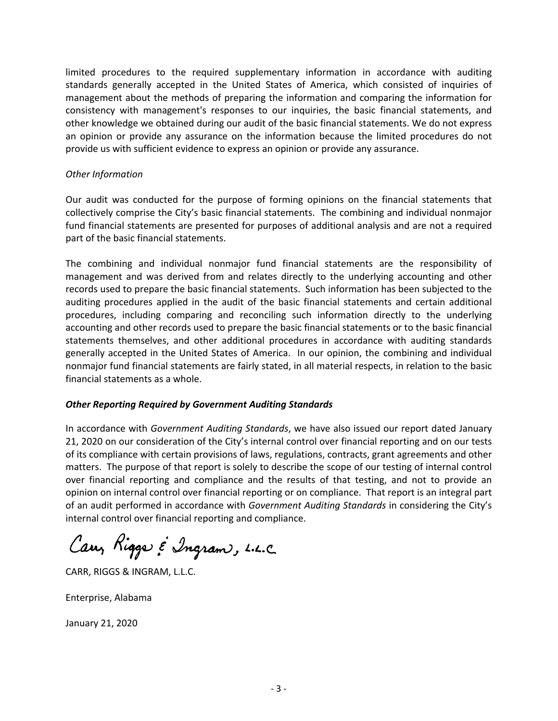limited procedures to the required supplementary information in accordance with auditing standards generally accepted in the United States of America, which consisted of inquiries of management about the methods of preparing the information and comparing the information for consistency with management's responses to our inquiries, the basic financial statements, and other knowledge we obtained during our audit of the basic financial statements. We do not express an opinion or provide any assurance on the information because the limited procedures do not provide us with sufficient evidence to express an opinion or provide any assurance.

### *Other Information*

Our audit was conducted for the purpose of forming opinions on the financial statements that collectively comprise the City's basic financial statements. The combining and individual nonmajor fund financial statements are presented for purposes of additional analysis and are not a required part of the basic financial statements.

The combining and individual nonmajor fund financial statements are the responsibility of management and was derived from and relates directly to the underlying accounting and other records used to prepare the basic financial statements. Such information has been subjected to the auditing procedures applied in the audit of the basic financial statements and certain additional procedures, including comparing and reconciling such information directly to the underlying accounting and other records used to prepare the basic financial statements or to the basic financial statements themselves, and other additional procedures in accordance with auditing standards generally accepted in the United States of America. In our opinion, the combining and individual nonmajor fund financial statements are fairly stated, in all material respects, in relation to the basic financial statements as a whole.

### *Other Reporting Required by Government Auditing Standards*

In accordance with *Government Auditing Standards*, we have also issued our report dated January 21, 2020 on our consideration of the City's internal control over financial reporting and on our tests of its compliance with certain provisions of laws, regulations, contracts, grant agreements and other matters. The purpose of that report is solely to describe the scope of our testing of internal control over financial reporting and compliance and the results of that testing, and not to provide an opinion on internal control over financial reporting or on compliance. That report is an integral part of an audit performed in accordance with *Government Auditing Standards* in considering the City's internal control over financial reporting and compliance.

Carry Rigge & Ingram, L.L.C.

CARR, RIGGS & INGRAM, L.L.C.

Enterprise, Alabama

January 21, 2020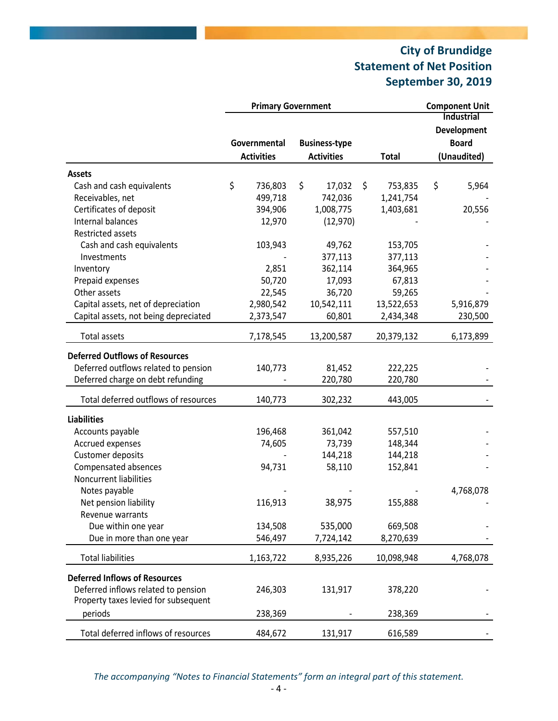# **City of Brundidge Statement of Net Position September 30, 2019**

|                                       |                   | <b>Primary Government</b> |               | <b>Component Unit</b> |
|---------------------------------------|-------------------|---------------------------|---------------|-----------------------|
|                                       |                   |                           |               | <b>Industrial</b>     |
|                                       |                   |                           |               | Development           |
|                                       | Governmental      | <b>Business-type</b>      |               | <b>Board</b>          |
|                                       | <b>Activities</b> | <b>Activities</b>         | <b>Total</b>  | (Unaudited)           |
| <b>Assets</b>                         |                   |                           |               |                       |
| Cash and cash equivalents             | \$<br>736,803     | \$<br>17,032              | \$<br>753,835 | \$<br>5,964           |
| Receivables, net                      | 499,718           | 742,036                   | 1,241,754     |                       |
| Certificates of deposit               | 394,906           | 1,008,775                 | 1,403,681     | 20,556                |
| Internal balances                     | 12,970            | (12, 970)                 |               |                       |
| Restricted assets                     |                   |                           |               |                       |
| Cash and cash equivalents             | 103,943           | 49,762                    | 153,705       |                       |
| Investments                           |                   | 377,113                   | 377,113       |                       |
| Inventory                             | 2,851             | 362,114                   | 364,965       |                       |
| Prepaid expenses                      | 50,720            | 17,093                    | 67,813        |                       |
| Other assets                          | 22,545            | 36,720                    | 59,265        |                       |
| Capital assets, net of depreciation   | 2,980,542         | 10,542,111                | 13,522,653    | 5,916,879             |
| Capital assets, not being depreciated | 2,373,547         | 60,801                    | 2,434,348     | 230,500               |
| Total assets                          | 7,178,545         | 13,200,587                | 20,379,132    | 6,173,899             |
|                                       |                   |                           |               |                       |
| <b>Deferred Outflows of Resources</b> |                   |                           |               |                       |
| Deferred outflows related to pension  | 140,773           | 81,452                    | 222,225       |                       |
| Deferred charge on debt refunding     |                   | 220,780                   | 220,780       |                       |
| Total deferred outflows of resources  | 140,773           | 302,232                   | 443,005       |                       |
| <b>Liabilities</b>                    |                   |                           |               |                       |
| Accounts payable                      | 196,468           | 361,042                   | 557,510       |                       |
| Accrued expenses                      | 74,605            | 73,739                    | 148,344       |                       |
| Customer deposits                     |                   | 144,218                   | 144,218       |                       |
| Compensated absences                  | 94,731            | 58,110                    | 152,841       |                       |
| Noncurrent liabilities                |                   |                           |               |                       |
| Notes payable                         |                   |                           |               | 4,768,078             |
| Net pension liability                 | 116,913           | 38,975                    | 155,888       |                       |
| Revenue warrants                      |                   |                           |               |                       |
| Due within one year                   | 134,508           | 535,000                   | 669,508       |                       |
| Due in more than one year             | 546,497           | 7,724,142                 | 8,270,639     |                       |
|                                       |                   |                           |               |                       |
| <b>Total liabilities</b>              | 1,163,722         | 8,935,226                 | 10,098,948    | 4,768,078             |
| <b>Deferred Inflows of Resources</b>  |                   |                           |               |                       |
| Deferred inflows related to pension   | 246,303           | 131,917                   | 378,220       |                       |
| Property taxes levied for subsequent  |                   |                           |               |                       |
| periods                               | 238,369           |                           | 238,369       |                       |
| Total deferred inflows of resources   | 484,672           | 131,917                   | 616,589       |                       |

*The accompanying "Notes to Financial Statements" form an integral part of this statement.*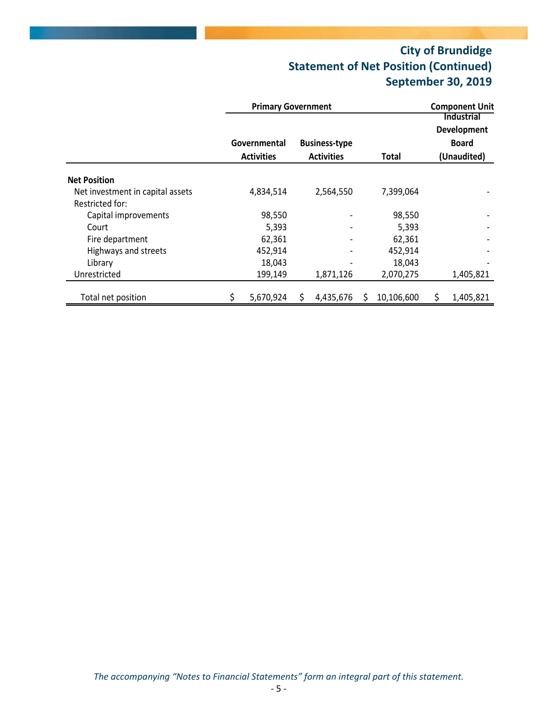# **City of Brundidge Statement of Net Position (Continued) September 30, 2019**

|                                  | <b>Primary Government</b> |                   |  |                      |   |              |    | <b>Component Unit</b>                            |
|----------------------------------|---------------------------|-------------------|--|----------------------|---|--------------|----|--------------------------------------------------|
|                                  |                           | Governmental      |  | <b>Business-type</b> |   |              |    | <b>Industrial</b><br>Development<br><b>Board</b> |
|                                  |                           | <b>Activities</b> |  | <b>Activities</b>    |   | <b>Total</b> |    | (Unaudited)                                      |
| <b>Net Position</b>              |                           |                   |  |                      |   |              |    |                                                  |
| Net investment in capital assets |                           | 4,834,514         |  | 2,564,550            |   | 7,399,064    |    |                                                  |
| Restricted for:                  |                           |                   |  |                      |   |              |    |                                                  |
| Capital improvements             |                           | 98,550            |  |                      |   | 98,550       |    |                                                  |
| Court                            |                           | 5,393             |  |                      |   | 5,393        |    |                                                  |
| Fire department                  |                           | 62,361            |  |                      |   | 62,361       |    |                                                  |
| Highways and streets             |                           | 452,914           |  |                      |   | 452,914      |    |                                                  |
| Library                          |                           | 18,043            |  |                      |   | 18,043       |    |                                                  |
| Unrestricted                     |                           | 199,149           |  | 1,871,126            |   | 2,070,275    |    | 1,405,821                                        |
| Total net position               |                           | 5,670,924         |  | 4,435,676            | S | 10,106,600   | \$ | 1,405,821                                        |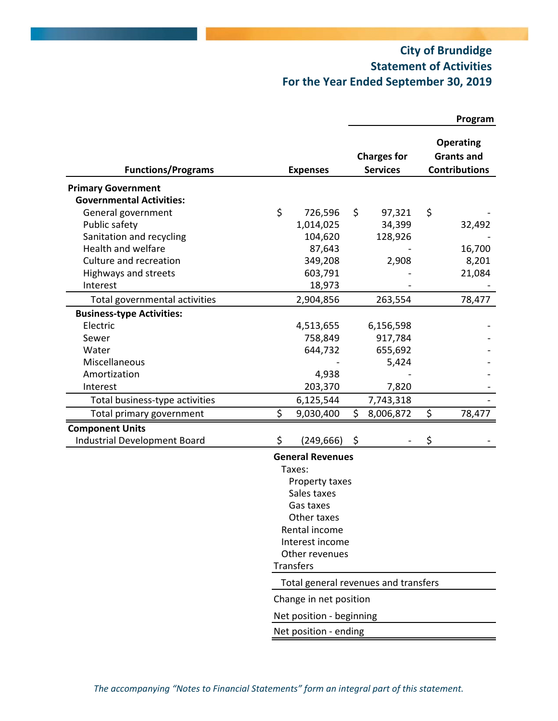# **City of Brundidge Statement of Activities**  For the Year Ended September 30, 2019

|                                                              |    |                                      |    |                                       |    | Program                                                       |
|--------------------------------------------------------------|----|--------------------------------------|----|---------------------------------------|----|---------------------------------------------------------------|
| <b>Functions/Programs</b>                                    |    | <b>Expenses</b>                      |    | <b>Charges for</b><br><b>Services</b> |    | <b>Operating</b><br><b>Grants and</b><br><b>Contributions</b> |
|                                                              |    |                                      |    |                                       |    |                                                               |
| <b>Primary Government</b><br><b>Governmental Activities:</b> |    |                                      |    |                                       |    |                                                               |
| General government                                           | \$ | 726,596                              | \$ | 97,321                                | \$ |                                                               |
| Public safety                                                |    | 1,014,025                            |    | 34,399                                |    | 32,492                                                        |
| Sanitation and recycling                                     |    | 104,620                              |    | 128,926                               |    |                                                               |
| <b>Health and welfare</b>                                    |    | 87,643                               |    |                                       |    | 16,700                                                        |
| Culture and recreation                                       |    | 349,208                              |    | 2,908                                 |    | 8,201                                                         |
| Highways and streets                                         |    | 603,791                              |    |                                       |    | 21,084                                                        |
| Interest                                                     |    | 18,973                               |    |                                       |    |                                                               |
|                                                              |    |                                      |    |                                       |    |                                                               |
| Total governmental activities                                |    | 2,904,856                            |    | 263,554                               |    | 78,477                                                        |
| <b>Business-type Activities:</b>                             |    |                                      |    |                                       |    |                                                               |
| Electric                                                     |    | 4,513,655                            |    | 6,156,598                             |    |                                                               |
| Sewer                                                        |    | 758,849                              |    | 917,784                               |    |                                                               |
| Water                                                        |    | 644,732                              |    | 655,692                               |    |                                                               |
| Miscellaneous                                                |    |                                      |    | 5,424                                 |    |                                                               |
| Amortization                                                 |    | 4,938                                |    |                                       |    |                                                               |
| Interest                                                     |    | 203,370                              |    | 7,820                                 |    |                                                               |
| Total business-type activities                               |    | 6,125,544                            |    | 7,743,318                             |    |                                                               |
| Total primary government                                     | Ś. | 9,030,400                            | \$ | 8,006,872                             | \$ | 78,477                                                        |
| <b>Component Units</b>                                       |    |                                      |    |                                       |    |                                                               |
| <b>Industrial Development Board</b>                          | \$ | (249, 666)                           | \$ |                                       | \$ |                                                               |
|                                                              |    | <b>General Revenues</b>              |    |                                       |    |                                                               |
|                                                              |    | Taxes:                               |    |                                       |    |                                                               |
|                                                              |    | Property taxes                       |    |                                       |    |                                                               |
|                                                              |    | Sales taxes                          |    |                                       |    |                                                               |
|                                                              |    | Gas taxes                            |    |                                       |    |                                                               |
|                                                              |    | Other taxes                          |    |                                       |    |                                                               |
|                                                              |    | Rental income                        |    |                                       |    |                                                               |
|                                                              |    | Interest income                      |    |                                       |    |                                                               |
|                                                              |    | Other revenues                       |    |                                       |    |                                                               |
|                                                              |    | Transfers                            |    |                                       |    |                                                               |
|                                                              |    | Total general revenues and transfers |    |                                       |    |                                                               |
|                                                              |    | Change in net position               |    |                                       |    |                                                               |
|                                                              |    | Net position - beginning             |    |                                       |    |                                                               |
| Net position - ending                                        |    |                                      |    |                                       |    |                                                               |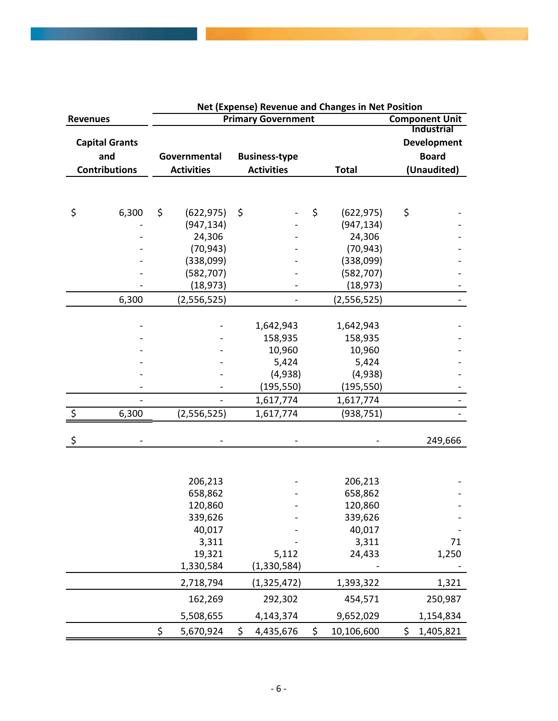|                          |                       |                   |                           |    | Net (Expense) Revenue and Changes in Net Position |    |                       |  |  |
|--------------------------|-----------------------|-------------------|---------------------------|----|---------------------------------------------------|----|-----------------------|--|--|
| <b>Revenues</b>          |                       |                   | <b>Primary Government</b> |    |                                                   |    | <b>Component Unit</b> |  |  |
|                          |                       |                   |                           |    |                                                   |    | <b>Industrial</b>     |  |  |
|                          | <b>Capital Grants</b> |                   |                           |    |                                                   |    | Development           |  |  |
|                          | and                   | Governmental      | <b>Business-type</b>      |    |                                                   |    | <b>Board</b>          |  |  |
|                          | <b>Contributions</b>  | <b>Activities</b> | <b>Activities</b>         |    | <b>Total</b>                                      |    | (Unaudited)           |  |  |
|                          |                       |                   |                           |    |                                                   |    |                       |  |  |
|                          |                       |                   |                           |    |                                                   |    |                       |  |  |
| \$                       | 6,300                 | \$<br>(622, 975)  | \$                        | \$ | (622, 975)                                        | \$ |                       |  |  |
|                          |                       | (947, 134)        |                           |    | (947, 134)                                        |    |                       |  |  |
|                          |                       | 24,306            |                           |    | 24,306                                            |    |                       |  |  |
|                          |                       | (70, 943)         |                           |    | (70, 943)                                         |    |                       |  |  |
|                          |                       | (338,099)         |                           |    | (338,099)                                         |    |                       |  |  |
|                          |                       | (582, 707)        |                           |    | (582, 707)                                        |    |                       |  |  |
|                          |                       | (18, 973)         |                           |    | (18, 973)                                         |    |                       |  |  |
|                          | 6,300                 | (2,556,525)       |                           |    | (2,556,525)                                       |    |                       |  |  |
|                          |                       |                   |                           |    |                                                   |    |                       |  |  |
|                          |                       |                   | 1,642,943                 |    | 1,642,943                                         |    |                       |  |  |
|                          |                       |                   | 158,935                   |    | 158,935                                           |    |                       |  |  |
|                          |                       |                   | 10,960                    |    | 10,960                                            |    |                       |  |  |
|                          |                       |                   | 5,424                     |    | 5,424                                             |    |                       |  |  |
|                          |                       |                   | (4,938)                   |    | (4,938)                                           |    |                       |  |  |
|                          |                       |                   | (195, 550)                |    | (195,550)                                         |    |                       |  |  |
|                          |                       |                   | 1,617,774                 |    | 1,617,774                                         |    |                       |  |  |
| $\overline{\mathcal{S}}$ | 6,300                 | (2,556,525)       | 1,617,774                 |    | (938, 751)                                        |    |                       |  |  |
| \$                       |                       |                   |                           |    |                                                   |    | 249,666               |  |  |
|                          |                       |                   |                           |    |                                                   |    |                       |  |  |
|                          |                       |                   |                           |    |                                                   |    |                       |  |  |
|                          |                       | 206,213           |                           |    | 206,213                                           |    |                       |  |  |
|                          |                       | 658,862           |                           |    | 658,862                                           |    |                       |  |  |
|                          |                       | 120,860           |                           |    | 120,860                                           |    |                       |  |  |
|                          |                       | 339,626           |                           |    | 339,626                                           |    |                       |  |  |
|                          |                       | 40,017            |                           |    | 40,017                                            |    |                       |  |  |
|                          |                       | 3,311             |                           |    | 3,311                                             |    | 71                    |  |  |
|                          |                       | 19,321            | 5,112                     |    | 24,433                                            |    | 1,250                 |  |  |
|                          |                       | 1,330,584         | (1, 330, 584)             |    |                                                   |    |                       |  |  |
|                          |                       | 2,718,794         | (1, 325, 472)             |    | 1,393,322                                         |    | 1,321                 |  |  |
|                          |                       | 162,269           | 292,302                   |    | 454,571                                           |    | 250,987               |  |  |
|                          |                       | 5,508,655         | 4,143,374                 |    | 9,652,029                                         |    | 1,154,834             |  |  |
|                          |                       | \$<br>5,670,924   | \$<br>4,435,676           | \$ | 10,106,600                                        | \$ | 1,405,821             |  |  |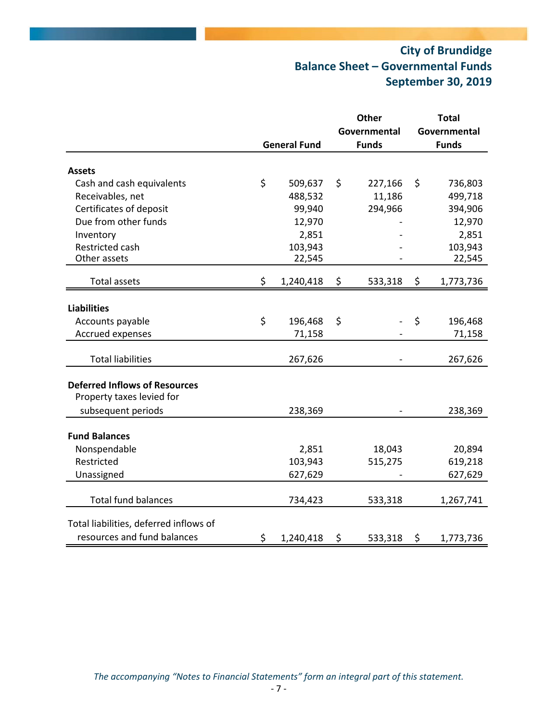# **City of Brundidge Balance Sheet – Governmental Funds September 30, 2019**

| <b>Other</b>                                                          | <b>Total</b> |  |
|-----------------------------------------------------------------------|--------------|--|
| Governmental                                                          | Governmental |  |
| <b>General Fund</b><br><b>Funds</b>                                   | <b>Funds</b> |  |
|                                                                       |              |  |
| <b>Assets</b>                                                         |              |  |
| \$<br>\$<br>Cash and cash equivalents<br>509,637<br>227,166<br>\$     | 736,803      |  |
| Receivables, net<br>11,186<br>488,532                                 | 499,718      |  |
| Certificates of deposit<br>99,940<br>294,966                          | 394,906      |  |
| Due from other funds<br>12,970                                        | 12,970       |  |
| 2,851<br>Inventory                                                    | 2,851        |  |
| Restricted cash<br>103,943                                            | 103,943      |  |
| Other assets<br>22,545                                                | 22,545       |  |
| \$<br>\$<br>\$<br>Total assets<br>1,240,418<br>533,318                | 1,773,736    |  |
|                                                                       |              |  |
| <b>Liabilities</b>                                                    |              |  |
| \$<br>\$<br>196,468<br>\$<br>Accounts payable                         | 196,468      |  |
| Accrued expenses<br>71,158                                            | 71,158       |  |
|                                                                       |              |  |
| <b>Total liabilities</b><br>267,626                                   | 267,626      |  |
| <b>Deferred Inflows of Resources</b>                                  |              |  |
| Property taxes levied for                                             |              |  |
| subsequent periods<br>238,369                                         | 238,369      |  |
|                                                                       |              |  |
| <b>Fund Balances</b>                                                  |              |  |
| Nonspendable<br>2,851<br>18,043                                       | 20,894       |  |
| Restricted<br>103,943<br>515,275                                      | 619,218      |  |
| 627,629<br>Unassigned                                                 | 627,629      |  |
|                                                                       |              |  |
| <b>Total fund balances</b><br>734,423<br>533,318                      | 1,267,741    |  |
| Total liabilities, deferred inflows of                                |              |  |
| resources and fund balances<br>\$<br>1,240,418<br>\$<br>533,318<br>\$ | 1,773,736    |  |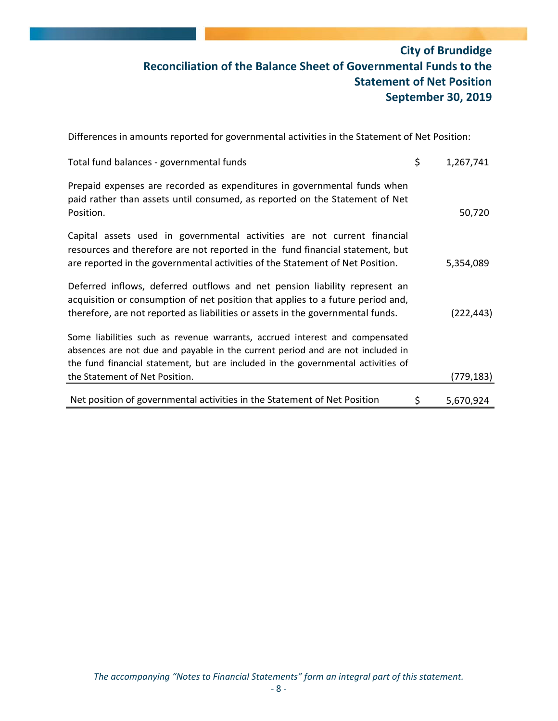# **City of Brundidge Reconciliation of the Balance Sheet of Governmental Funds to the Statement of Net Position September 30, 2019**

Differences in amounts reported for governmental activities in the Statement of Net Position:

| Total fund balances - governmental funds                                                                                                                                                                                                                                            | \$<br>1,267,741 |
|-------------------------------------------------------------------------------------------------------------------------------------------------------------------------------------------------------------------------------------------------------------------------------------|-----------------|
| Prepaid expenses are recorded as expenditures in governmental funds when<br>paid rather than assets until consumed, as reported on the Statement of Net<br>Position.                                                                                                                | 50,720          |
| Capital assets used in governmental activities are not current financial<br>resources and therefore are not reported in the fund financial statement, but<br>are reported in the governmental activities of the Statement of Net Position.                                          | 5,354,089       |
| Deferred inflows, deferred outflows and net pension liability represent an<br>acquisition or consumption of net position that applies to a future period and,<br>therefore, are not reported as liabilities or assets in the governmental funds.                                    | (222, 443)      |
| Some liabilities such as revenue warrants, accrued interest and compensated<br>absences are not due and payable in the current period and are not included in<br>the fund financial statement, but are included in the governmental activities of<br>the Statement of Net Position. | (779, 183)      |
|                                                                                                                                                                                                                                                                                     |                 |
| Net position of governmental activities in the Statement of Net Position                                                                                                                                                                                                            | 5,670,924       |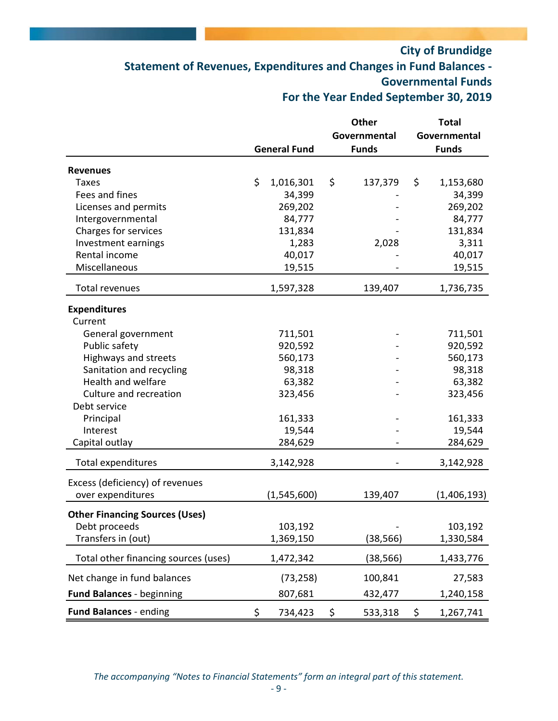# **City of Brundidge Statement of Revenues, Expenditures and Changes in Fund Balances ‐ Governmental Funds**

# **For the Year Ended September 30, 2019**

|                                       |                     | <b>Other</b>  | <b>Total</b>    |
|---------------------------------------|---------------------|---------------|-----------------|
|                                       |                     | Governmental  | Governmental    |
|                                       | <b>General Fund</b> | <b>Funds</b>  | <b>Funds</b>    |
| <b>Revenues</b>                       |                     |               |                 |
| <b>Taxes</b>                          | \$<br>1,016,301     | \$<br>137,379 | \$<br>1,153,680 |
| Fees and fines                        | 34,399              |               | 34,399          |
| Licenses and permits                  | 269,202             |               | 269,202         |
| Intergovernmental                     | 84,777              |               | 84,777          |
| Charges for services                  | 131,834             |               | 131,834         |
| Investment earnings                   | 1,283               | 2,028         | 3,311           |
| Rental income                         | 40,017              |               | 40,017          |
| Miscellaneous                         | 19,515              |               | 19,515          |
| Total revenues                        | 1,597,328           | 139,407       | 1,736,735       |
| <b>Expenditures</b>                   |                     |               |                 |
| Current                               |                     |               |                 |
| General government                    | 711,501             |               | 711,501         |
| Public safety                         | 920,592             |               | 920,592         |
| <b>Highways and streets</b>           | 560,173             |               | 560,173         |
| Sanitation and recycling              | 98,318              |               | 98,318          |
| <b>Health and welfare</b>             | 63,382              |               | 63,382          |
| Culture and recreation                | 323,456             |               | 323,456         |
| Debt service                          |                     |               |                 |
| Principal                             | 161,333             |               | 161,333         |
| Interest                              | 19,544              |               | 19,544          |
| Capital outlay                        | 284,629             |               | 284,629         |
| Total expenditures                    | 3,142,928           |               | 3,142,928       |
| Excess (deficiency) of revenues       |                     |               |                 |
| over expenditures                     |                     | 139,407       |                 |
|                                       | (1,545,600)         |               | (1,406,193)     |
| <b>Other Financing Sources (Uses)</b> |                     |               |                 |
| Debt proceeds                         | 103,192             |               | 103,192         |
| Transfers in (out)                    | 1,369,150           | (38, 566)     | 1,330,584       |
| Total other financing sources (uses)  | 1,472,342           | (38, 566)     | 1,433,776       |
| Net change in fund balances           | (73, 258)           | 100,841       | 27,583          |
| <b>Fund Balances - beginning</b>      | 807,681             | 432,477       | 1,240,158       |
| <b>Fund Balances - ending</b>         | \$<br>734,423       | \$<br>533,318 | \$<br>1,267,741 |

*The accompanying "Notes to Financial Statements" form an integral part of this statement.*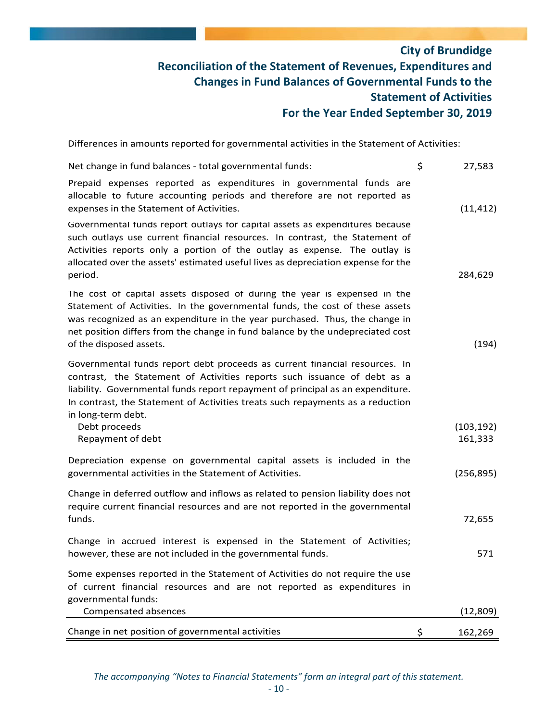# **City of Brundidge Reconciliation of the Statement of Revenues, Expenditures and Changes in Fund Balances of Governmental Funds to the Statement of Activities For the Year Ended September 30, 2019**

Differences in amounts reported for governmental activities in the Statement of Activities:

| Net change in fund balances - total governmental funds:                                                                                                                                                                                                                                                                                          | \$<br>27,583          |
|--------------------------------------------------------------------------------------------------------------------------------------------------------------------------------------------------------------------------------------------------------------------------------------------------------------------------------------------------|-----------------------|
| Prepaid expenses reported as expenditures in governmental funds are<br>allocable to future accounting periods and therefore are not reported as<br>expenses in the Statement of Activities.                                                                                                                                                      | (11, 412)             |
| Governmental funds report outlays for capital assets as expenditures because<br>such outlays use current financial resources. In contrast, the Statement of<br>Activities reports only a portion of the outlay as expense. The outlay is<br>allocated over the assets' estimated useful lives as depreciation expense for the                    |                       |
| period.                                                                                                                                                                                                                                                                                                                                          | 284,629               |
| The cost of capital assets disposed of during the year is expensed in the<br>Statement of Activities. In the governmental funds, the cost of these assets<br>was recognized as an expenditure in the year purchased. Thus, the change in<br>net position differs from the change in fund balance by the undepreciated cost                       |                       |
| of the disposed assets.                                                                                                                                                                                                                                                                                                                          | (194)                 |
| Governmental funds report debt proceeds as current financial resources. In<br>contrast, the Statement of Activities reports such issuance of debt as a<br>liability. Governmental funds report repayment of principal as an expenditure.<br>In contrast, the Statement of Activities treats such repayments as a reduction<br>in long-term debt. |                       |
| Debt proceeds<br>Repayment of debt                                                                                                                                                                                                                                                                                                               | (103, 192)<br>161,333 |
| Depreciation expense on governmental capital assets is included in the<br>governmental activities in the Statement of Activities.                                                                                                                                                                                                                | (256, 895)            |
| Change in deferred outflow and inflows as related to pension liability does not<br>require current financial resources and are not reported in the governmental                                                                                                                                                                                  |                       |
| funds.                                                                                                                                                                                                                                                                                                                                           | 72,655                |
| Change in accrued interest is expensed in the Statement of Activities;<br>however, these are not included in the governmental funds.                                                                                                                                                                                                             | 571                   |
| Some expenses reported in the Statement of Activities do not require the use<br>of current financial resources and are not reported as expenditures in<br>governmental funds:                                                                                                                                                                    |                       |
| Compensated absences                                                                                                                                                                                                                                                                                                                             | (12, 809)             |
| Change in net position of governmental activities                                                                                                                                                                                                                                                                                                | \$<br>162,269         |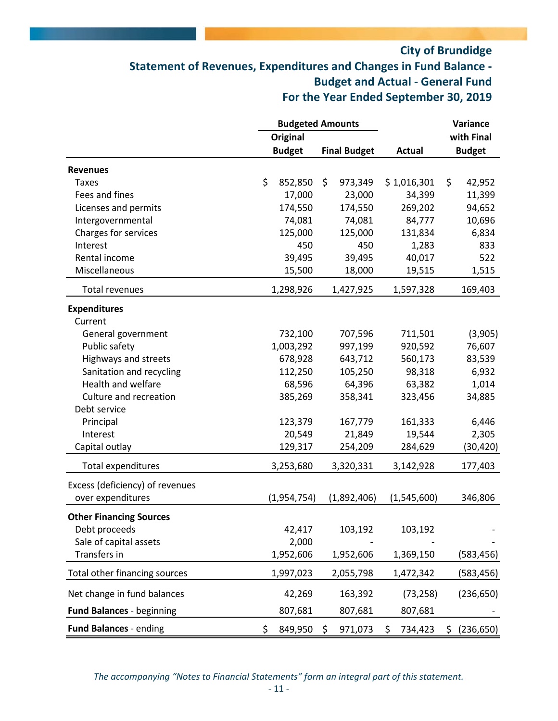### **City of Brundidge**

# **Statement of Revenues, Expenditures and Changes in Fund Balance ‐ Budget and Actual ‐ General Fund For the Year Ended September 30, 2019**

|                                 |                 | <b>Budgeted Amounts</b> |               | Variance      |
|---------------------------------|-----------------|-------------------------|---------------|---------------|
|                                 | <b>Original</b> |                         |               | with Final    |
|                                 | <b>Budget</b>   | <b>Final Budget</b>     | <b>Actual</b> | <b>Budget</b> |
| <b>Revenues</b>                 |                 |                         |               |               |
| <b>Taxes</b>                    | \$<br>852,850   | \$<br>973,349           | \$1,016,301   | \$<br>42,952  |
| Fees and fines                  | 17,000          | 23,000                  | 34,399        | 11,399        |
| Licenses and permits            | 174,550         | 174,550                 | 269,202       | 94,652        |
| Intergovernmental               | 74,081          | 74,081                  | 84,777        | 10,696        |
| Charges for services            | 125,000         | 125,000                 | 131,834       | 6,834         |
| Interest                        | 450             | 450                     | 1,283         | 833           |
| Rental income                   | 39,495          | 39,495                  | 40,017        | 522           |
| Miscellaneous                   | 15,500          | 18,000                  | 19,515        | 1,515         |
| Total revenues                  | 1,298,926       | 1,427,925               | 1,597,328     | 169,403       |
| <b>Expenditures</b>             |                 |                         |               |               |
| Current                         |                 |                         |               |               |
| General government              | 732,100         | 707,596                 | 711,501       | (3,905)       |
| Public safety                   | 1,003,292       | 997,199                 | 920,592       | 76,607        |
| Highways and streets            | 678,928         | 643,712                 | 560,173       | 83,539        |
| Sanitation and recycling        | 112,250         | 105,250                 | 98,318        | 6,932         |
| Health and welfare              | 68,596          | 64,396                  | 63,382        | 1,014         |
| Culture and recreation          | 385,269         | 358,341                 | 323,456       | 34,885        |
| Debt service                    |                 |                         |               |               |
| Principal                       | 123,379         | 167,779                 | 161,333       | 6,446         |
| Interest                        | 20,549          | 21,849                  | 19,544        | 2,305         |
| Capital outlay                  | 129,317         | 254,209                 | 284,629       | (30, 420)     |
| Total expenditures              | 3,253,680       | 3,320,331               | 3,142,928     | 177,403       |
| Excess (deficiency) of revenues |                 |                         |               |               |
| over expenditures               | (1,954,754)     | (1,892,406)             | (1,545,600)   | 346,806       |
| <b>Other Financing Sources</b>  |                 |                         |               |               |
| Debt proceeds                   | 42,417          | 103,192                 | 103,192       |               |
| Sale of capital assets          | 2,000           |                         |               |               |
| Transfers in                    | 1,952,606       | 1,952,606               | 1,369,150     | (583,456)     |
| Total other financing sources   | 1,997,023       | 2,055,798               | 1,472,342     | (583,456)     |
| Net change in fund balances     | 42,269          | 163,392                 | (73, 258)     | (236, 650)    |
| Fund Balances - beginning       | 807,681         | 807,681                 | 807,681       |               |
| Fund Balances - ending          | \$<br>849,950   | \$<br>971,073           | 734,423<br>\$ | \$ (236,650)  |

*The accompanying "Notes to Financial Statements" form an integral part of this statement.*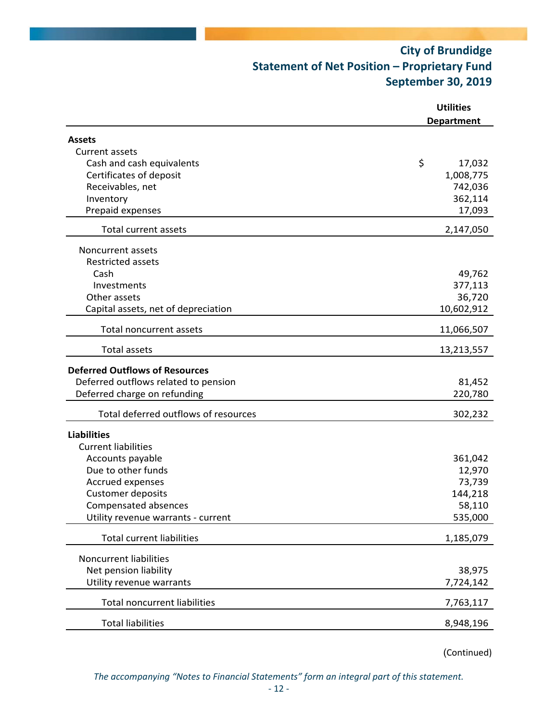# **City of Brundidge Statement of Net Position – Proprietary Fund September 30, 2019**

|                                                  | <b>Utilities</b>  |  |
|--------------------------------------------------|-------------------|--|
|                                                  | <b>Department</b> |  |
| <b>Assets</b>                                    |                   |  |
| Current assets                                   |                   |  |
| Cash and cash equivalents                        | \$<br>17,032      |  |
| Certificates of deposit                          | 1,008,775         |  |
| Receivables, net                                 | 742,036           |  |
| Inventory                                        | 362,114           |  |
| Prepaid expenses                                 | 17,093            |  |
| <b>Total current assets</b>                      | 2,147,050         |  |
| Noncurrent assets                                |                   |  |
| <b>Restricted assets</b>                         |                   |  |
| Cash                                             | 49,762            |  |
| Investments                                      | 377,113           |  |
| Other assets                                     | 36,720            |  |
| Capital assets, net of depreciation              | 10,602,912        |  |
| <b>Total noncurrent assets</b>                   | 11,066,507        |  |
| <b>Total assets</b>                              | 13,213,557        |  |
| <b>Deferred Outflows of Resources</b>            |                   |  |
| Deferred outflows related to pension             | 81,452            |  |
| Deferred charge on refunding                     | 220,780           |  |
| Total deferred outflows of resources             | 302,232           |  |
|                                                  |                   |  |
| <b>Liabilities</b><br><b>Current liabilities</b> |                   |  |
| Accounts payable                                 | 361,042           |  |
| Due to other funds                               | 12,970            |  |
| <b>Accrued expenses</b>                          | 73,739            |  |
| <b>Customer deposits</b>                         | 144,218           |  |
| Compensated absences                             | 58,110            |  |
| Utility revenue warrants - current               | 535,000           |  |
| <b>Total current liabilities</b>                 | 1,185,079         |  |
| <b>Noncurrent liabilities</b>                    |                   |  |
| Net pension liability                            | 38,975            |  |
| Utility revenue warrants                         | 7,724,142         |  |
| <b>Total noncurrent liabilities</b>              | 7,763,117         |  |
|                                                  |                   |  |
| <b>Total liabilities</b>                         | 8,948,196         |  |

(Continued)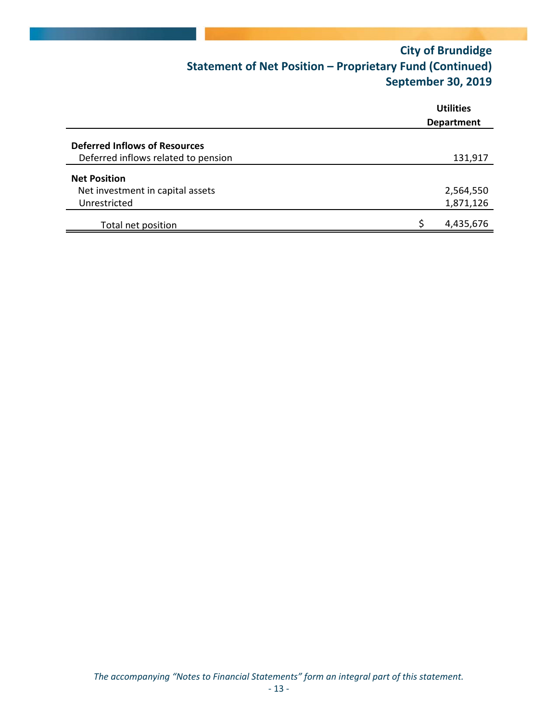# **City of Brundidge Statement of Net Position – Proprietary Fund (Continued) September 30, 2019**

|                                      | <b>Utilities</b>  |
|--------------------------------------|-------------------|
|                                      | <b>Department</b> |
| <b>Deferred Inflows of Resources</b> |                   |
| Deferred inflows related to pension  | 131,917           |
| <b>Net Position</b>                  |                   |
| Net investment in capital assets     | 2,564,550         |
| Unrestricted                         | 1,871,126         |
| Total net position                   | ς<br>4,435,676    |
|                                      |                   |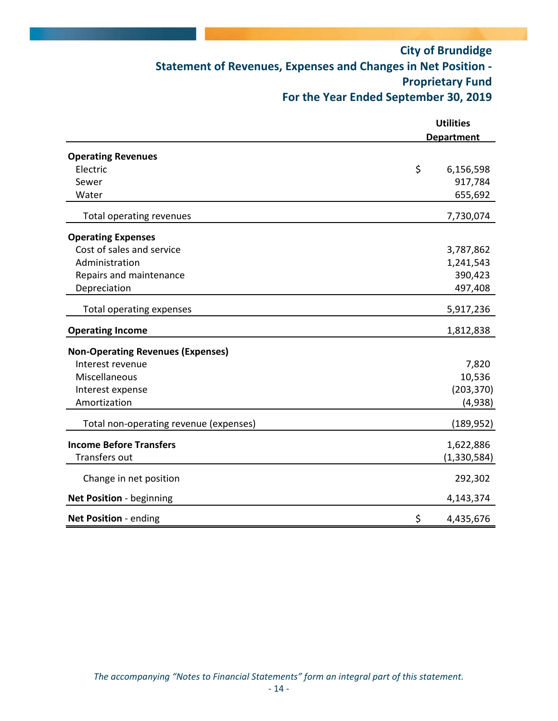# **City of Brundidge Statement of Revenues, Expenses and Changes in Net Position ‐ Proprietary Fund For the Year Ended September 30, 2019**

|                                          | <b>Utilities</b>  |  |  |  |
|------------------------------------------|-------------------|--|--|--|
|                                          | <b>Department</b> |  |  |  |
| <b>Operating Revenues</b>                |                   |  |  |  |
| Electric                                 | \$<br>6,156,598   |  |  |  |
| Sewer                                    | 917,784           |  |  |  |
| Water                                    | 655,692           |  |  |  |
| Total operating revenues                 | 7,730,074         |  |  |  |
| <b>Operating Expenses</b>                |                   |  |  |  |
| Cost of sales and service                | 3,787,862         |  |  |  |
| Administration                           | 1,241,543         |  |  |  |
| Repairs and maintenance                  | 390,423           |  |  |  |
| Depreciation                             | 497,408           |  |  |  |
| <b>Total operating expenses</b>          | 5,917,236         |  |  |  |
| <b>Operating Income</b>                  | 1,812,838         |  |  |  |
| <b>Non-Operating Revenues (Expenses)</b> |                   |  |  |  |
| Interest revenue                         | 7,820             |  |  |  |
| Miscellaneous                            | 10,536            |  |  |  |
| Interest expense                         | (203, 370)        |  |  |  |
| Amortization                             | (4,938)           |  |  |  |
| Total non-operating revenue (expenses)   | (189, 952)        |  |  |  |
| <b>Income Before Transfers</b>           | 1,622,886         |  |  |  |
| Transfers out                            | (1,330,584)       |  |  |  |
| Change in net position                   | 292,302           |  |  |  |
| Net Position - beginning                 | 4,143,374         |  |  |  |
| Net Position - ending                    | \$<br>4,435,676   |  |  |  |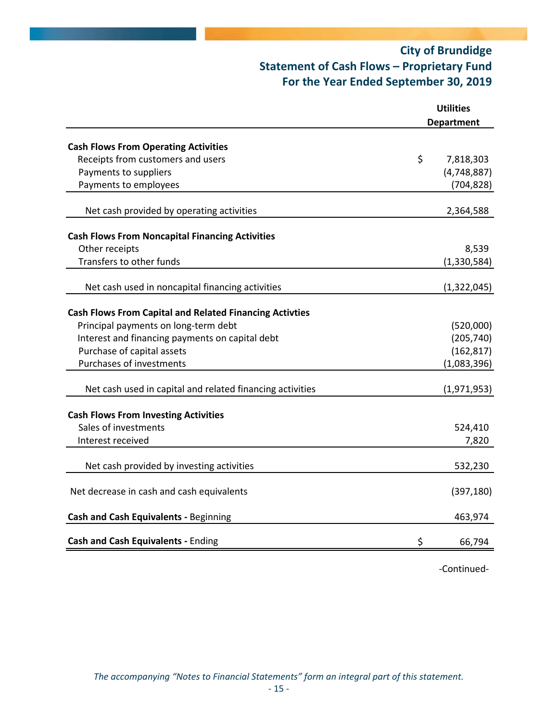# **City of Brundidge Statement of Cash Flows – Proprietary Fund For the Year Ended September 30, 2019**

|                                                                | <b>Utilities</b> |                   |  |
|----------------------------------------------------------------|------------------|-------------------|--|
|                                                                |                  | <b>Department</b> |  |
|                                                                |                  |                   |  |
| <b>Cash Flows From Operating Activities</b>                    |                  |                   |  |
| Receipts from customers and users                              | \$               | 7,818,303         |  |
| Payments to suppliers                                          |                  | (4,748,887)       |  |
| Payments to employees                                          |                  | (704, 828)        |  |
| Net cash provided by operating activities                      |                  | 2,364,588         |  |
| <b>Cash Flows From Noncapital Financing Activities</b>         |                  |                   |  |
| Other receipts                                                 |                  | 8,539             |  |
| Transfers to other funds                                       |                  | (1, 330, 584)     |  |
| Net cash used in noncapital financing activities               |                  | (1,322,045)       |  |
|                                                                |                  |                   |  |
| <b>Cash Flows From Capital and Related Financing Activties</b> |                  |                   |  |
| Principal payments on long-term debt                           |                  | (520,000)         |  |
| Interest and financing payments on capital debt                |                  | (205, 740)        |  |
| Purchase of capital assets                                     |                  | (162, 817)        |  |
| Purchases of investments                                       |                  | (1,083,396)       |  |
| Net cash used in capital and related financing activities      |                  | (1,971,953)       |  |
| <b>Cash Flows From Investing Activities</b>                    |                  |                   |  |
| Sales of investments                                           |                  | 524,410           |  |
| Interest received                                              |                  | 7,820             |  |
|                                                                |                  |                   |  |
| Net cash provided by investing activities                      |                  | 532,230           |  |
| Net decrease in cash and cash equivalents                      |                  | (397, 180)        |  |
| <b>Cash and Cash Equivalents - Beginning</b>                   |                  | 463,974           |  |
| Cash and Cash Equivalents - Ending                             | \$               | 66,794            |  |

‐Continued‐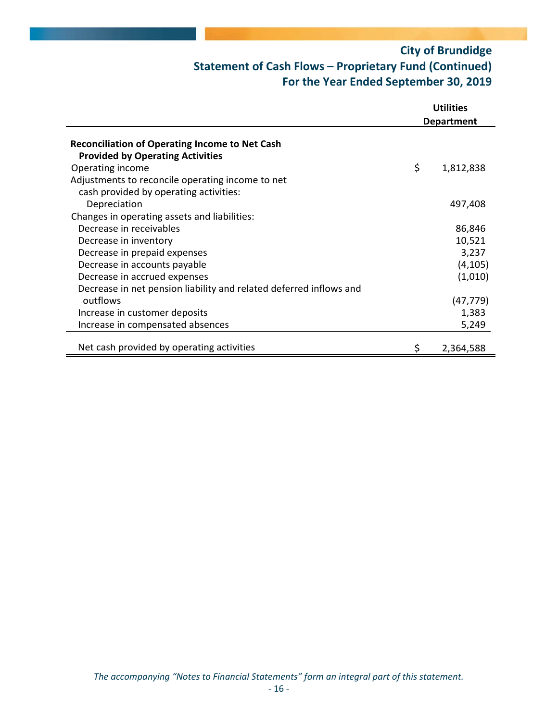# **City of Brundidge Statement of Cash Flows – Proprietary Fund (Continued) For the Year Ended September 30, 2019**

|                                                                    | <b>Utilities</b><br><b>Department</b> |           |
|--------------------------------------------------------------------|---------------------------------------|-----------|
| <b>Reconciliation of Operating Income to Net Cash</b>              |                                       |           |
| <b>Provided by Operating Activities</b>                            |                                       |           |
| Operating income                                                   | \$                                    | 1,812,838 |
| Adjustments to reconcile operating income to net                   |                                       |           |
| cash provided by operating activities:                             |                                       |           |
| Depreciation                                                       |                                       | 497,408   |
| Changes in operating assets and liabilities:                       |                                       |           |
| Decrease in receivables                                            |                                       | 86,846    |
| Decrease in inventory                                              |                                       | 10,521    |
| Decrease in prepaid expenses                                       |                                       | 3,237     |
| Decrease in accounts payable                                       |                                       | (4, 105)  |
| Decrease in accrued expenses                                       |                                       | (1,010)   |
| Decrease in net pension liability and related deferred inflows and |                                       |           |
| outflows                                                           |                                       | (47, 779) |
| Increase in customer deposits                                      |                                       | 1,383     |
| Increase in compensated absences                                   |                                       | 5,249     |
| Net cash provided by operating activities                          |                                       | 2,364,588 |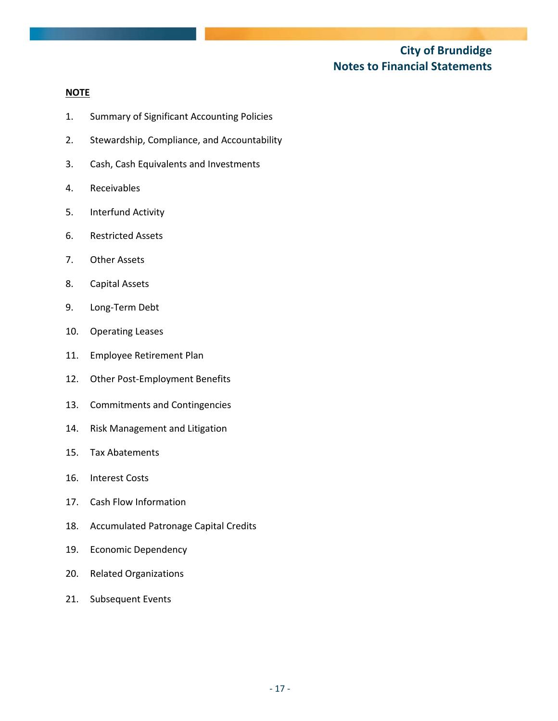### **NOTE**

- 1. Summary of Significant Accounting Policies
- 2. Stewardship, Compliance, and Accountability
- 3. Cash, Cash Equivalents and Investments
- 4. Receivables
- 5. Interfund Activity
- 6. Restricted Assets
- 7. Other Assets
- 8. Capital Assets
- 9. Long‐Term Debt
- 10. Operating Leases
- 11. Employee Retirement Plan
- 12. Other Post-Employment Benefits
- 13. Commitments and Contingencies
- 14. Risk Management and Litigation
- 15. Tax Abatements
- 16. Interest Costs
- 17. Cash Flow Information
- 18. Accumulated Patronage Capital Credits
- 19. Economic Dependency
- 20. Related Organizations
- 21. Subsequent Events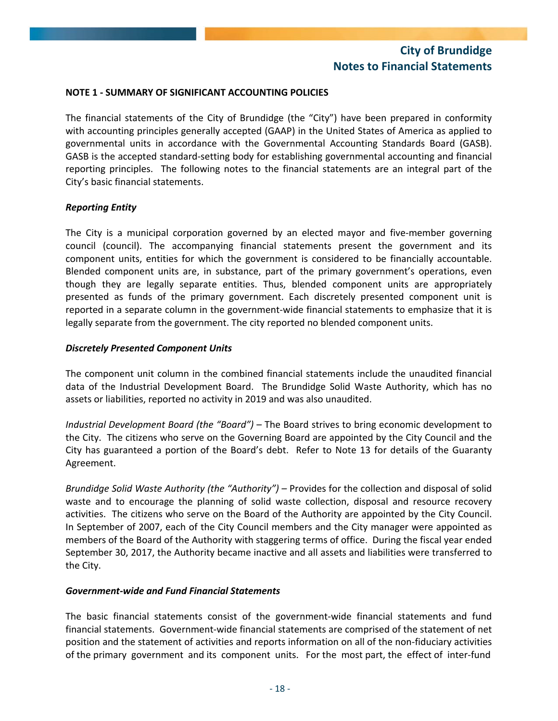### **NOTE 1 ‐ SUMMARY OF SIGNIFICANT ACCOUNTING POLICIES**

The financial statements of the City of Brundidge (the "City") have been prepared in conformity with accounting principles generally accepted (GAAP) in the United States of America as applied to governmental units in accordance with the Governmental Accounting Standards Board (GASB). GASB is the accepted standard‐setting body for establishing governmental accounting and financial reporting principles. The following notes to the financial statements are an integral part of the City's basic financial statements.

### *Reporting Entity*

The City is a municipal corporation governed by an elected mayor and five-member governing council (council). The accompanying financial statements present the government and its component units, entities for which the government is considered to be financially accountable. Blended component units are, in substance, part of the primary government's operations, even though they are legally separate entities. Thus, blended component units are appropriately presented as funds of the primary government. Each discretely presented component unit is reported in a separate column in the government‐wide financial statements to emphasize that it is legally separate from the government. The city reported no blended component units.

### *Discretely Presented Component Units*

The component unit column in the combined financial statements include the unaudited financial data of the Industrial Development Board. The Brundidge Solid Waste Authority, which has no assets or liabilities, reported no activity in 2019 and was also unaudited.

*Industrial Development Board (the "Board")* – The Board strives to bring economic development to the City. The citizens who serve on the Governing Board are appointed by the City Council and the City has guaranteed a portion of the Board's debt. Refer to Note 13 for details of the Guaranty Agreement.

*Brundidge Solid Waste Authority (the "Authority") –* Provides for the collection and disposal of solid waste and to encourage the planning of solid waste collection, disposal and resource recovery activities. The citizens who serve on the Board of the Authority are appointed by the City Council. In September of 2007, each of the City Council members and the City manager were appointed as members of the Board of the Authority with staggering terms of office. During the fiscal year ended September 30, 2017, the Authority became inactive and all assets and liabilities were transferred to the City.

### *Government‐wide and Fund Financial Statements*

The basic financial statements consist of the government-wide financial statements and fund financial statements. Government‐wide financial statements are comprised of the statement of net position and the statement of activities and reports information on all of the non‐fiduciary activities of the primary government and its component units. For the most part, the effect of inter‐fund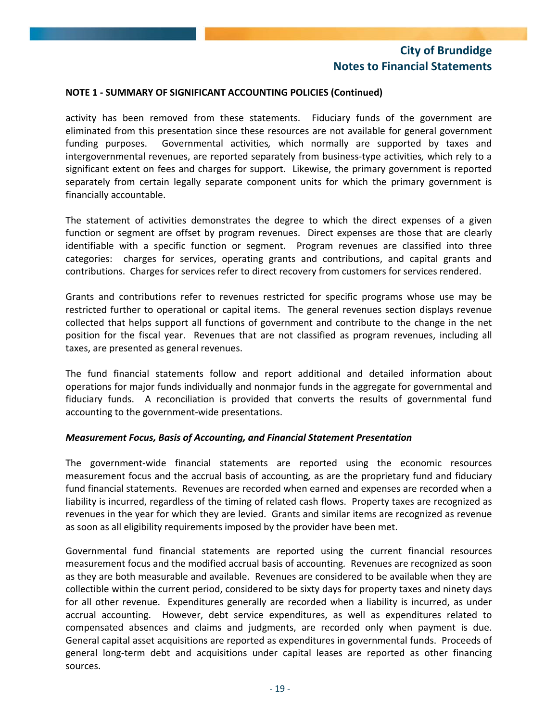### **NOTE 1 ‐ SUMMARY OF SIGNIFICANT ACCOUNTING POLICIES (Continued)**

activity has been removed from these statements. Fiduciary funds of the government are eliminated from this presentation since these resources are not available for general government funding purposes. Governmental activities*,* which normally are supported by taxes and intergovernmental revenues, are reported separately from business‐type activities*,* which rely to a significant extent on fees and charges for support. Likewise, the primary government is reported separately from certain legally separate component units for which the primary government is financially accountable.

The statement of activities demonstrates the degree to which the direct expenses of a given function or segment are offset by program revenues. Direct expenses are those that are clearly identifiable with a specific function or segment. Program revenues are classified into three categories: charges for services, operating grants and contributions, and capital grants and contributions. Charges for services refer to direct recovery from customers for services rendered.

Grants and contributions refer to revenues restricted for specific programs whose use may be restricted further to operational or capital items. The general revenues section displays revenue collected that helps support all functions of government and contribute to the change in the net position for the fiscal year. Revenues that are not classified as program revenues, including all taxes, are presented as general revenues.

The fund financial statements follow and report additional and detailed information about operations for major funds individually and nonmajor funds in the aggregate for governmental and fiduciary funds. A reconciliation is provided that converts the results of governmental fund accounting to the government‐wide presentations.

### *Measurement Focus, Basis of Accounting, and Financial Statement Presentation*

The government‐wide financial statements are reported using the economic resources measurement focus and the accrual basis of accounting*,* as are the proprietary fund and fiduciary fund financial statements. Revenues are recorded when earned and expenses are recorded when a liability is incurred, regardless of the timing of related cash flows. Property taxes are recognized as revenues in the year for which they are levied. Grants and similar items are recognized as revenue as soon as all eligibility requirements imposed by the provider have been met.

Governmental fund financial statements are reported using the current financial resources measurement focus and the modified accrual basis of accounting*.* Revenues are recognized as soon as they are both measurable and available. Revenues are considered to be available when they are collectible within the current period, considered to be sixty days for property taxes and ninety days for all other revenue. Expenditures generally are recorded when a liability is incurred, as under accrual accounting. However, debt service expenditures, as well as expenditures related to compensated absences and claims and judgments, are recorded only when payment is due. General capital asset acquisitions are reported as expenditures in governmental funds. Proceeds of general long‐term debt and acquisitions under capital leases are reported as other financing sources.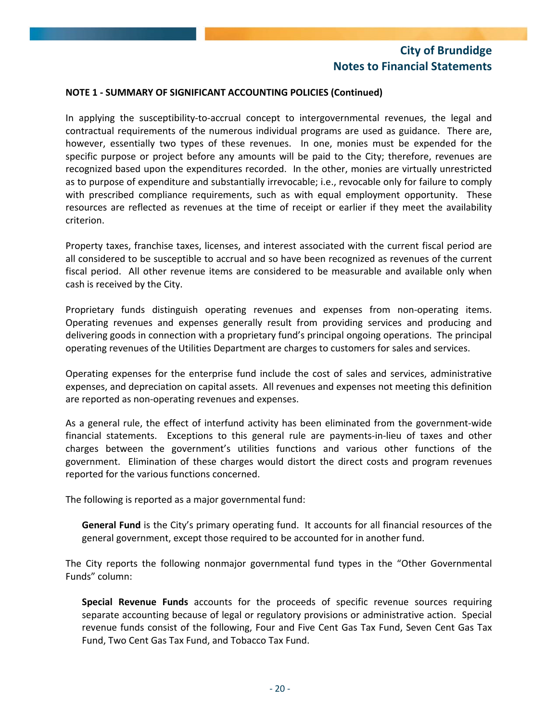### **NOTE 1 ‐ SUMMARY OF SIGNIFICANT ACCOUNTING POLICIES (Continued)**

In applying the susceptibility-to-accrual concept to intergovernmental revenues, the legal and contractual requirements of the numerous individual programs are used as guidance. There are, however, essentially two types of these revenues. In one, monies must be expended for the specific purpose or project before any amounts will be paid to the City; therefore, revenues are recognized based upon the expenditures recorded. In the other, monies are virtually unrestricted as to purpose of expenditure and substantially irrevocable; i.e., revocable only for failure to comply with prescribed compliance requirements, such as with equal employment opportunity. These resources are reflected as revenues at the time of receipt or earlier if they meet the availability criterion.

Property taxes, franchise taxes, licenses, and interest associated with the current fiscal period are all considered to be susceptible to accrual and so have been recognized as revenues of the current fiscal period. All other revenue items are considered to be measurable and available only when cash is received by the City.

Proprietary funds distinguish operating revenues and expenses from non-operating items. Operating revenues and expenses generally result from providing services and producing and delivering goods in connection with a proprietary fund's principal ongoing operations. The principal operating revenues of the Utilities Department are charges to customers for sales and services.

Operating expenses for the enterprise fund include the cost of sales and services, administrative expenses, and depreciation on capital assets. All revenues and expenses not meeting this definition are reported as non‐operating revenues and expenses.

As a general rule, the effect of interfund activity has been eliminated from the government‐wide financial statements. Exceptions to this general rule are payments-in-lieu of taxes and other charges between the government's utilities functions and various other functions of the government. Elimination of these charges would distort the direct costs and program revenues reported for the various functions concerned.

The following is reported as a major governmental fund:

**General Fund** is the City's primary operating fund. It accounts for all financial resources of the general government, except those required to be accounted for in another fund.

The City reports the following nonmajor governmental fund types in the "Other Governmental Funds" column:

**Special Revenue Funds** accounts for the proceeds of specific revenue sources requiring separate accounting because of legal or regulatory provisions or administrative action. Special revenue funds consist of the following, Four and Five Cent Gas Tax Fund, Seven Cent Gas Tax Fund, Two Cent Gas Tax Fund, and Tobacco Tax Fund.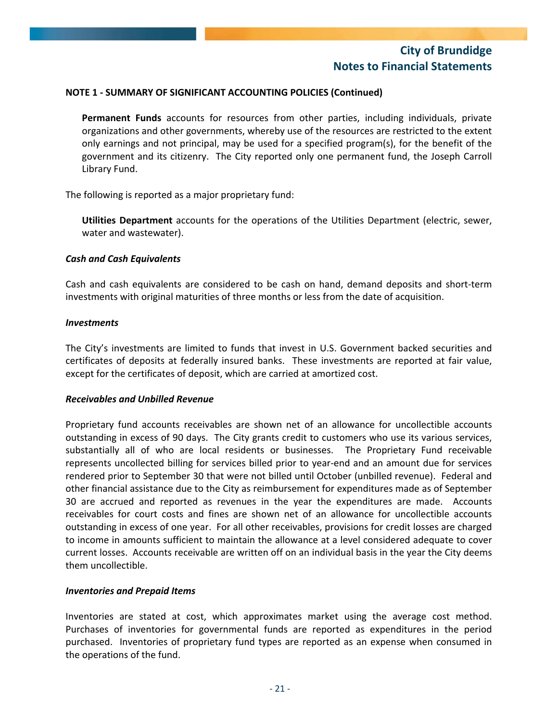**Permanent Funds** accounts for resources from other parties, including individuals, private organizations and other governments, whereby use of the resources are restricted to the extent only earnings and not principal, may be used for a specified program(s), for the benefit of the government and its citizenry. The City reported only one permanent fund, the Joseph Carroll Library Fund.

The following is reported as a major proprietary fund:

**Utilities Department** accounts for the operations of the Utilities Department (electric, sewer, water and wastewater).

### *Cash and Cash Equivalents*

Cash and cash equivalents are considered to be cash on hand, demand deposits and short‐term investments with original maturities of three months or less from the date of acquisition.

### *Investments*

The City's investments are limited to funds that invest in U.S. Government backed securities and certificates of deposits at federally insured banks. These investments are reported at fair value, except for the certificates of deposit, which are carried at amortized cost.

### *Receivables and Unbilled Revenue*

Proprietary fund accounts receivables are shown net of an allowance for uncollectible accounts outstanding in excess of 90 days. The City grants credit to customers who use its various services, substantially all of who are local residents or businesses. The Proprietary Fund receivable represents uncollected billing for services billed prior to year‐end and an amount due for services rendered prior to September 30 that were not billed until October (unbilled revenue). Federal and other financial assistance due to the City as reimbursement for expenditures made as of September 30 are accrued and reported as revenues in the year the expenditures are made. Accounts receivables for court costs and fines are shown net of an allowance for uncollectible accounts outstanding in excess of one year. For all other receivables, provisions for credit losses are charged to income in amounts sufficient to maintain the allowance at a level considered adequate to cover current losses. Accounts receivable are written off on an individual basis in the year the City deems them uncollectible.

### *Inventories and Prepaid Items*

Inventories are stated at cost, which approximates market using the average cost method. Purchases of inventories for governmental funds are reported as expenditures in the period purchased. Inventories of proprietary fund types are reported as an expense when consumed in the operations of the fund.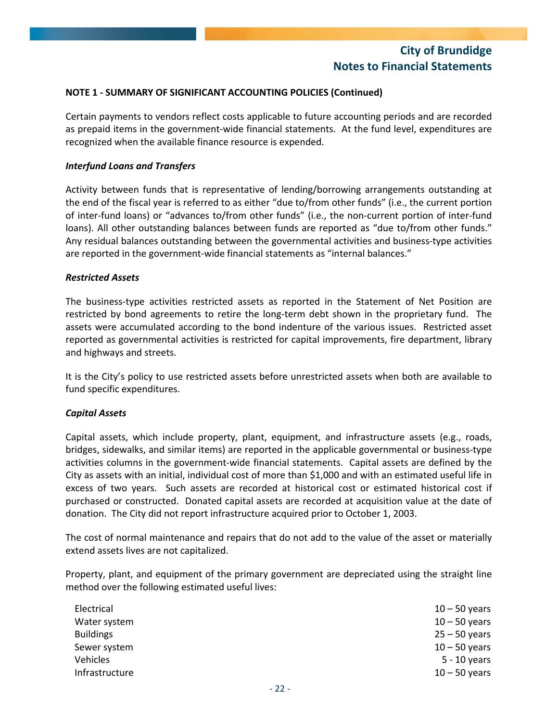Certain payments to vendors reflect costs applicable to future accounting periods and are recorded as prepaid items in the government‐wide financial statements. At the fund level, expenditures are recognized when the available finance resource is expended.

### *Interfund Loans and Transfers*

Activity between funds that is representative of lending/borrowing arrangements outstanding at the end of the fiscal year is referred to as either "due to/from other funds" (i.e., the current portion of inter‐fund loans) or "advances to/from other funds" (i.e., the non‐current portion of inter‐fund loans). All other outstanding balances between funds are reported as "due to/from other funds." Any residual balances outstanding between the governmental activities and business‐type activities are reported in the government‐wide financial statements as "internal balances."

### *Restricted Assets*

The business-type activities restricted assets as reported in the Statement of Net Position are restricted by bond agreements to retire the long-term debt shown in the proprietary fund. The assets were accumulated according to the bond indenture of the various issues. Restricted asset reported as governmental activities is restricted for capital improvements, fire department, library and highways and streets.

It is the City's policy to use restricted assets before unrestricted assets when both are available to fund specific expenditures.

### *Capital Assets*

Capital assets, which include property, plant, equipment, and infrastructure assets (e.g., roads, bridges, sidewalks, and similar items) are reported in the applicable governmental or business‐type activities columns in the government‐wide financial statements. Capital assets are defined by the City as assets with an initial, individual cost of more than \$1,000 and with an estimated useful life in excess of two years. Such assets are recorded at historical cost or estimated historical cost if purchased or constructed. Donated capital assets are recorded at acquisition value at the date of donation. The City did not report infrastructure acquired prior to October 1, 2003.

The cost of normal maintenance and repairs that do not add to the value of the asset or materially extend assets lives are not capitalized.

Property, plant, and equipment of the primary government are depreciated using the straight line method over the following estimated useful lives:

| Electrical       | $10 - 50$ years |
|------------------|-----------------|
| Water system     | $10 - 50$ years |
| <b>Buildings</b> | $25 - 50$ years |
| Sewer system     | $10 - 50$ years |
| Vehicles         | 5 - 10 years    |
| Infrastructure   | $10 - 50$ years |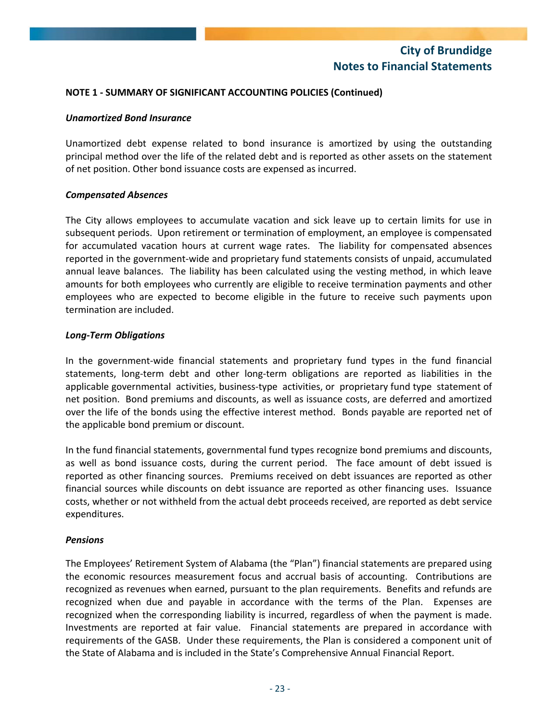### *Unamortized Bond Insurance*

Unamortized debt expense related to bond insurance is amortized by using the outstanding principal method over the life of the related debt and is reported as other assets on the statement of net position. Other bond issuance costs are expensed as incurred.

### *Compensated Absences*

The City allows employees to accumulate vacation and sick leave up to certain limits for use in subsequent periods. Upon retirement or termination of employment, an employee is compensated for accumulated vacation hours at current wage rates. The liability for compensated absences reported in the government‐wide and proprietary fund statements consists of unpaid, accumulated annual leave balances. The liability has been calculated using the vesting method, in which leave amounts for both employees who currently are eligible to receive termination payments and other employees who are expected to become eligible in the future to receive such payments upon termination are included.

### *Long‐Term Obligations*

In the government-wide financial statements and proprietary fund types in the fund financial statements, long-term debt and other long-term obligations are reported as liabilities in the applicable governmental activities, business-type activities, or proprietary fund type statement of net position. Bond premiums and discounts, as well as issuance costs, are deferred and amortized over the life of the bonds using the effective interest method. Bonds payable are reported net of the applicable bond premium or discount.

In the fund financial statements, governmental fund types recognize bond premiums and discounts, as well as bond issuance costs, during the current period. The face amount of debt issued is reported as other financing sources. Premiums received on debt issuances are reported as other financial sources while discounts on debt issuance are reported as other financing uses. Issuance costs, whether or not withheld from the actual debt proceeds received, are reported as debt service expenditures.

### *Pensions*

The Employees' Retirement System of Alabama (the "Plan") financial statements are prepared using the economic resources measurement focus and accrual basis of accounting. Contributions are recognized as revenues when earned, pursuant to the plan requirements. Benefits and refunds are recognized when due and payable in accordance with the terms of the Plan. Expenses are recognized when the corresponding liability is incurred, regardless of when the payment is made. Investments are reported at fair value. Financial statements are prepared in accordance with requirements of the GASB. Under these requirements, the Plan is considered a component unit of the State of Alabama and is included in the State's Comprehensive Annual Financial Report.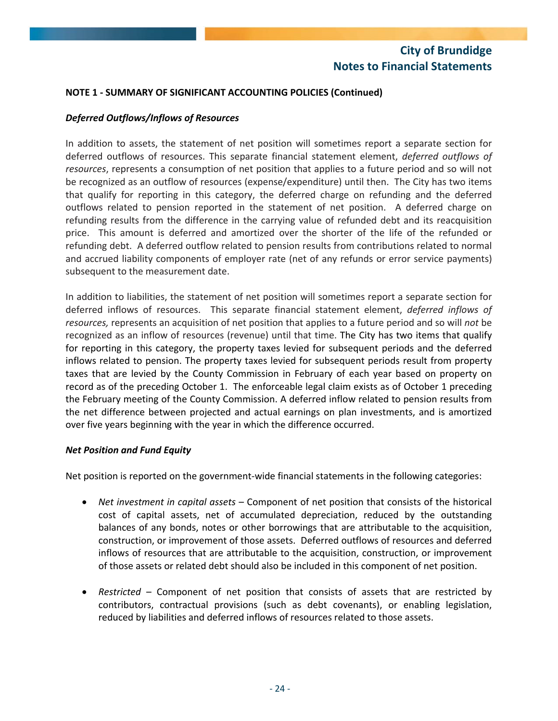### **NOTE 1 ‐ SUMMARY OF SIGNIFICANT ACCOUNTING POLICIES (Continued)**

### *Deferred Outflows/Inflows of Resources*

In addition to assets, the statement of net position will sometimes report a separate section for deferred outflows of resources. This separate financial statement element, *deferred outflows of resources*, represents a consumption of net position that applies to a future period and so will not be recognized as an outflow of resources (expense/expenditure) until then. The City has two items that qualify for reporting in this category, the deferred charge on refunding and the deferred outflows related to pension reported in the statement of net position. A deferred charge on refunding results from the difference in the carrying value of refunded debt and its reacquisition price. This amount is deferred and amortized over the shorter of the life of the refunded or refunding debt. A deferred outflow related to pension results from contributions related to normal and accrued liability components of employer rate (net of any refunds or error service payments) subsequent to the measurement date.

In addition to liabilities, the statement of net position will sometimes report a separate section for deferred inflows of resources. This separate financial statement element, *deferred inflows of resources,* represents an acquisition of net position that applies to a future period and so will *not* be recognized as an inflow of resources (revenue) until that time. The City has two items that qualify for reporting in this category, the property taxes levied for subsequent periods and the deferred inflows related to pension. The property taxes levied for subsequent periods result from property taxes that are levied by the County Commission in February of each year based on property on record as of the preceding October 1. The enforceable legal claim exists as of October 1 preceding the February meeting of the County Commission. A deferred inflow related to pension results from the net difference between projected and actual earnings on plan investments, and is amortized over five years beginning with the year in which the difference occurred.

### *Net Position and Fund Equity*

Net position is reported on the government‐wide financial statements in the following categories:

- *Net investment in capital assets*  Component of net position that consists of the historical cost of capital assets, net of accumulated depreciation, reduced by the outstanding balances of any bonds, notes or other borrowings that are attributable to the acquisition, construction, or improvement of those assets. Deferred outflows of resources and deferred inflows of resources that are attributable to the acquisition, construction, or improvement of those assets or related debt should also be included in this component of net position.
- *Restricted*  Component of net position that consists of assets that are restricted by contributors, contractual provisions (such as debt covenants), or enabling legislation, reduced by liabilities and deferred inflows of resources related to those assets.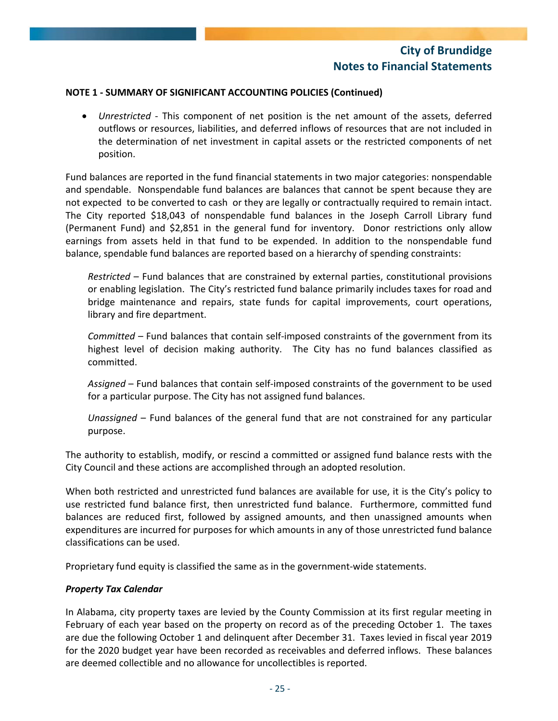### **NOTE 1 ‐ SUMMARY OF SIGNIFICANT ACCOUNTING POLICIES (Continued)**

• *Unrestricted* - This component of net position is the net amount of the assets, deferred outflows or resources, liabilities, and deferred inflows of resources that are not included in the determination of net investment in capital assets or the restricted components of net position.

Fund balances are reported in the fund financial statements in two major categories: nonspendable and spendable. Nonspendable fund balances are balances that cannot be spent because they are not expected to be converted to cash or they are legally or contractually required to remain intact. The City reported \$18,043 of nonspendable fund balances in the Joseph Carroll Library fund (Permanent Fund) and \$2,851 in the general fund for inventory. Donor restrictions only allow earnings from assets held in that fund to be expended. In addition to the nonspendable fund balance, spendable fund balances are reported based on a hierarchy of spending constraints:

*Restricted* – Fund balances that are constrained by external parties, constitutional provisions or enabling legislation. The City's restricted fund balance primarily includes taxes for road and bridge maintenance and repairs, state funds for capital improvements, court operations, library and fire department.

*Committed* – Fund balances that contain self‐imposed constraints of the government from its highest level of decision making authority. The City has no fund balances classified as committed.

*Assigned* – Fund balances that contain self‐imposed constraints of the government to be used for a particular purpose. The City has not assigned fund balances.

*Unassigned* – Fund balances of the general fund that are not constrained for any particular purpose.

The authority to establish, modify, or rescind a committed or assigned fund balance rests with the City Council and these actions are accomplished through an adopted resolution.

When both restricted and unrestricted fund balances are available for use, it is the City's policy to use restricted fund balance first, then unrestricted fund balance. Furthermore, committed fund balances are reduced first, followed by assigned amounts, and then unassigned amounts when expenditures are incurred for purposes for which amounts in any of those unrestricted fund balance classifications can be used.

Proprietary fund equity is classified the same as in the government‐wide statements.

### *Property Tax Calendar*

In Alabama, city property taxes are levied by the County Commission at its first regular meeting in February of each year based on the property on record as of the preceding October 1. The taxes are due the following October 1 and delinquent after December 31. Taxes levied in fiscal year 2019 for the 2020 budget year have been recorded as receivables and deferred inflows. These balances are deemed collectible and no allowance for uncollectibles is reported.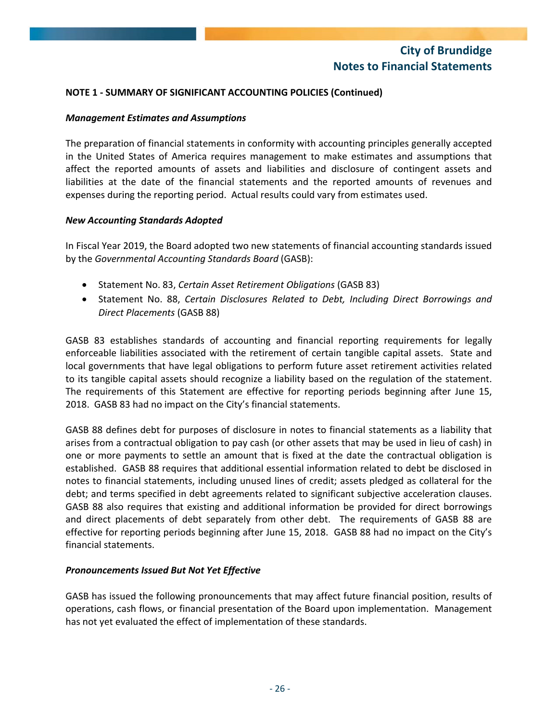### *Management Estimates and Assumptions*

The preparation of financial statements in conformity with accounting principles generally accepted in the United States of America requires management to make estimates and assumptions that affect the reported amounts of assets and liabilities and disclosure of contingent assets and liabilities at the date of the financial statements and the reported amounts of revenues and expenses during the reporting period. Actual results could vary from estimates used.

### *New Accounting Standards Adopted*

In Fiscal Year 2019, the Board adopted two new statements of financial accounting standards issued by the *Governmental Accounting Standards Board* (GASB):

- Statement No. 83, *Certain Asset Retirement Obligations* (GASB 83)
- Statement No. 88, *Certain Disclosures Related to Debt, Including Direct Borrowings and Direct Placements* (GASB 88)

GASB 83 establishes standards of accounting and financial reporting requirements for legally enforceable liabilities associated with the retirement of certain tangible capital assets. State and local governments that have legal obligations to perform future asset retirement activities related to its tangible capital assets should recognize a liability based on the regulation of the statement. The requirements of this Statement are effective for reporting periods beginning after June 15, 2018. GASB 83 had no impact on the City's financial statements.

GASB 88 defines debt for purposes of disclosure in notes to financial statements as a liability that arises from a contractual obligation to pay cash (or other assets that may be used in lieu of cash) in one or more payments to settle an amount that is fixed at the date the contractual obligation is established. GASB 88 requires that additional essential information related to debt be disclosed in notes to financial statements, including unused lines of credit; assets pledged as collateral for the debt; and terms specified in debt agreements related to significant subjective acceleration clauses. GASB 88 also requires that existing and additional information be provided for direct borrowings and direct placements of debt separately from other debt. The requirements of GASB 88 are effective for reporting periods beginning after June 15, 2018. GASB 88 had no impact on the City's financial statements.

### *Pronouncements Issued But Not Yet Effective*

GASB has issued the following pronouncements that may affect future financial position, results of operations, cash flows, or financial presentation of the Board upon implementation. Management has not yet evaluated the effect of implementation of these standards.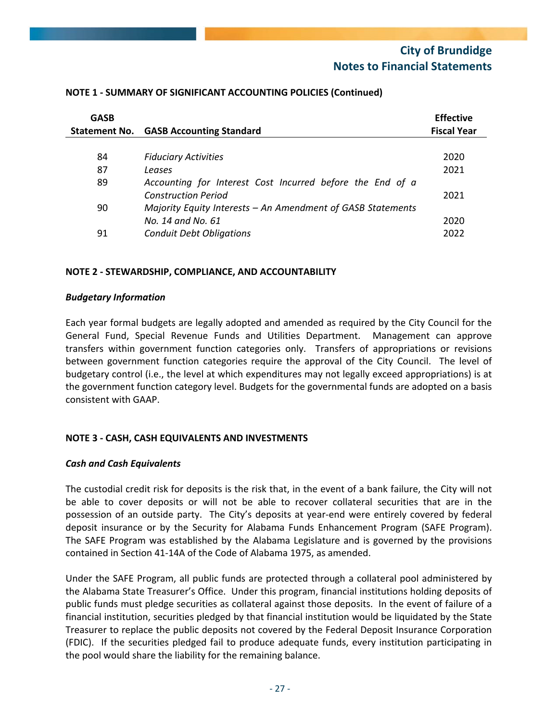| <b>GASB</b><br><b>Statement No.</b> | <b>GASB Accounting Standard</b>                             | <b>Effective</b><br><b>Fiscal Year</b> |
|-------------------------------------|-------------------------------------------------------------|----------------------------------------|
|                                     |                                                             |                                        |
| 84                                  | <b>Fiduciary Activities</b>                                 | 2020                                   |
| 87                                  | Leases                                                      | 2021                                   |
| 89                                  | Accounting for Interest Cost Incurred before the End of a   |                                        |
|                                     | <b>Construction Period</b>                                  | 2021                                   |
| 90                                  | Majority Equity Interests – An Amendment of GASB Statements |                                        |
|                                     | No. 14 and No. 61                                           | 2020                                   |
| 91                                  | <b>Conduit Debt Obligations</b>                             | 2022                                   |

### **NOTE 1 ‐ SUMMARY OF SIGNIFICANT ACCOUNTING POLICIES (Continued)**

### **NOTE 2 ‐ STEWARDSHIP, COMPLIANCE, AND ACCOUNTABILITY**

### *Budgetary Information*

Each year formal budgets are legally adopted and amended as required by the City Council for the General Fund, Special Revenue Funds and Utilities Department. Management can approve transfers within government function categories only. Transfers of appropriations or revisions between government function categories require the approval of the City Council. The level of budgetary control (i.e., the level at which expenditures may not legally exceed appropriations) is at the government function category level. Budgets for the governmental funds are adopted on a basis consistent with GAAP.

### **NOTE 3 ‐ CASH, CASH EQUIVALENTS AND INVESTMENTS**

### *Cash and Cash Equivalents*

The custodial credit risk for deposits is the risk that, in the event of a bank failure, the City will not be able to cover deposits or will not be able to recover collateral securities that are in the possession of an outside party. The City's deposits at year-end were entirely covered by federal deposit insurance or by the Security for Alabama Funds Enhancement Program (SAFE Program). The SAFE Program was established by the Alabama Legislature and is governed by the provisions contained in Section 41‐14A of the Code of Alabama 1975, as amended.

Under the SAFE Program, all public funds are protected through a collateral pool administered by the Alabama State Treasurer's Office. Under this program, financial institutions holding deposits of public funds must pledge securities as collateral against those deposits. In the event of failure of a financial institution, securities pledged by that financial institution would be liquidated by the State Treasurer to replace the public deposits not covered by the Federal Deposit Insurance Corporation (FDIC). If the securities pledged fail to produce adequate funds, every institution participating in the pool would share the liability for the remaining balance.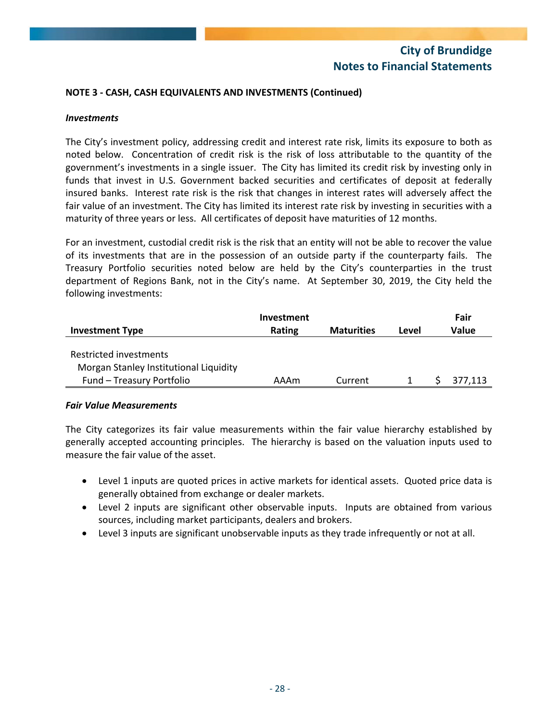### **NOTE 3 ‐ CASH, CASH EQUIVALENTS AND INVESTMENTS (Continued)**

#### *Investments*

The City's investment policy, addressing credit and interest rate risk, limits its exposure to both as noted below. Concentration of credit risk is the risk of loss attributable to the quantity of the government's investments in a single issuer. The City has limited its credit risk by investing only in funds that invest in U.S. Government backed securities and certificates of deposit at federally insured banks. Interest rate risk is the risk that changes in interest rates will adversely affect the fair value of an investment. The City has limited its interest rate risk by investing in securities with a maturity of three years or less. All certificates of deposit have maturities of 12 months.

For an investment, custodial credit risk is the risk that an entity will not be able to recover the value of its investments that are in the possession of an outside party if the counterparty fails. The Treasury Portfolio securities noted below are held by the City's counterparties in the trust department of Regions Bank, not in the City's name. At September 30, 2019, the City held the following investments:

|                                        | <b>Investment</b> |                   |       | Fair    |
|----------------------------------------|-------------------|-------------------|-------|---------|
| <b>Investment Type</b>                 | Rating            | <b>Maturities</b> | Level | Value   |
|                                        |                   |                   |       |         |
| <b>Restricted investments</b>          |                   |                   |       |         |
| Morgan Stanley Institutional Liquidity |                   |                   |       |         |
| Fund - Treasury Portfolio              | AAAm              | Current           |       | 377.113 |

### *Fair Value Measurements*

The City categorizes its fair value measurements within the fair value hierarchy established by generally accepted accounting principles. The hierarchy is based on the valuation inputs used to measure the fair value of the asset.

- Level 1 inputs are quoted prices in active markets for identical assets. Quoted price data is generally obtained from exchange or dealer markets.
- Level 2 inputs are significant other observable inputs. Inputs are obtained from various sources, including market participants, dealers and brokers.
- Level 3 inputs are significant unobservable inputs as they trade infrequently or not at all.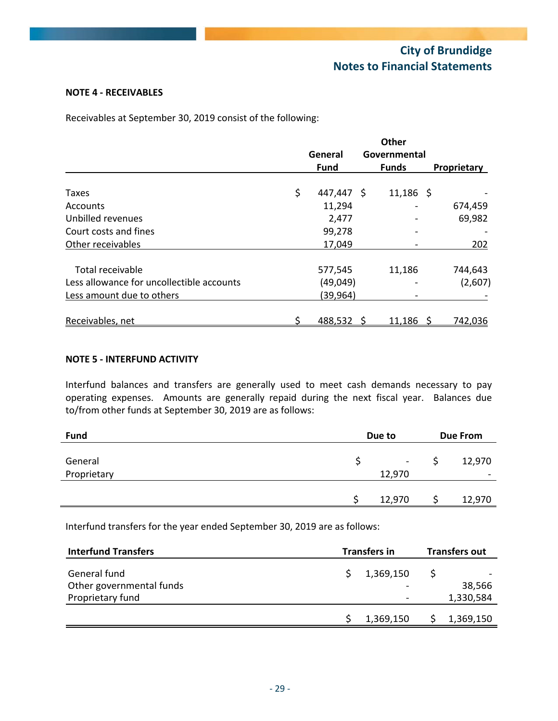### **NOTE 4 ‐ RECEIVABLES**

Receivables at September 30, 2019 consist of the following:

|                                           |                  | <b>Other</b> |             |
|-------------------------------------------|------------------|--------------|-------------|
|                                           | General          | Governmental |             |
|                                           | <b>Fund</b>      | <b>Funds</b> | Proprietary |
|                                           |                  |              |             |
| <b>Taxes</b>                              | \$<br>447,447 \$ | $11,186$ \$  |             |
| Accounts                                  | 11,294           |              | 674,459     |
| Unbilled revenues                         | 2,477            |              | 69,982      |
| Court costs and fines                     | 99,278           |              |             |
| Other receivables                         | 17,049           |              | 202         |
| Total receivable                          | 577,545          | 11,186       | 744,643     |
| Less allowance for uncollectible accounts | (49,049)         |              | (2,607)     |
| Less amount due to others                 | (39,964)         |              |             |
| Receivables, net                          | 488,532          | 11,186       | 742,036     |

### **NOTE 5 ‐ INTERFUND ACTIVITY**

Interfund balances and transfers are generally used to meet cash demands necessary to pay operating expenses. Amounts are generally repaid during the next fiscal year. Balances due to/from other funds at September 30, 2019 are as follows:

| <b>Fund</b>            | Due to                             | Due From                               |  |  |
|------------------------|------------------------------------|----------------------------------------|--|--|
| General<br>Proprietary | $\overline{\phantom{a}}$<br>12,970 | 12,970<br>$\qquad \qquad \blacksquare$ |  |  |
|                        | 12,970                             | 12,970                                 |  |  |

Interfund transfers for the year ended September 30, 2019 are as follows:

| <b>Interfund Transfers</b> | <b>Transfers in</b> |           | <b>Transfers out</b> |           |  |
|----------------------------|---------------------|-----------|----------------------|-----------|--|
| General fund               |                     | 1,369,150 |                      |           |  |
| Other governmental funds   |                     |           |                      | 38,566    |  |
| Proprietary fund           |                     |           |                      | 1,330,584 |  |
|                            |                     | 1,369,150 |                      | 1,369,150 |  |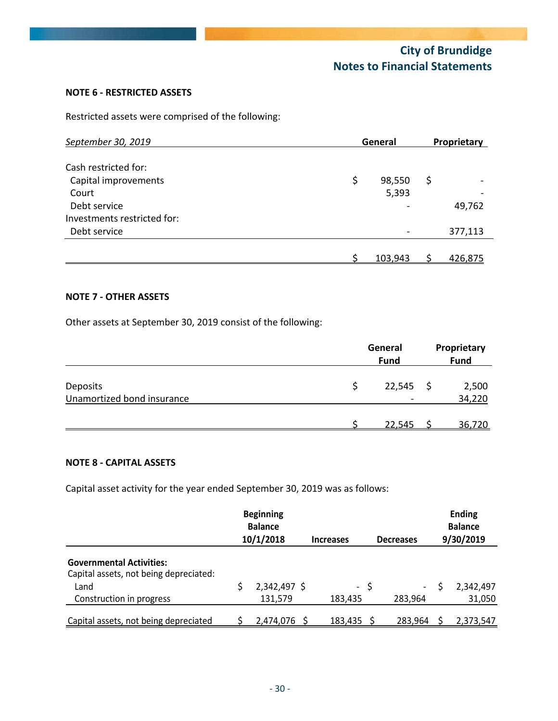### **NOTE 6 ‐ RESTRICTED ASSETS**

Restricted assets were comprised of the following:

| September 30, 2019          | General      | Proprietary |                |  |
|-----------------------------|--------------|-------------|----------------|--|
| Cash restricted for:        |              |             |                |  |
| Capital improvements        | \$<br>98,550 | \$          |                |  |
| Court                       | 5,393        |             |                |  |
| Debt service                |              |             | 49,762         |  |
| Investments restricted for: |              |             |                |  |
| Debt service                |              |             | 377,113        |  |
|                             |              |             |                |  |
|                             | 103,943      |             | <u>426,875</u> |  |

### **NOTE 7 ‐ OTHER ASSETS**

Other assets at September 30, 2019 consist of the following:

|                                        | General<br><b>Fund</b> | Proprietary<br><b>Fund</b> |
|----------------------------------------|------------------------|----------------------------|
| Deposits<br>Unamortized bond insurance | 22,545                 | 2,500<br>34,220            |
|                                        | 22,545                 | 36,720                     |

### **NOTE 8 ‐ CAPITAL ASSETS**

Capital asset activity for the year ended September 30, 2019 was as follows:

|                                                                                                               | <b>Beginning</b><br><b>Balance</b><br>10/1/2018 | <b>Increases</b> |      | <b>Decreases</b> |   | <b>Ending</b><br><b>Balance</b><br>9/30/2019 |
|---------------------------------------------------------------------------------------------------------------|-------------------------------------------------|------------------|------|------------------|---|----------------------------------------------|
| <b>Governmental Activities:</b><br>Capital assets, not being depreciated:<br>Land<br>Construction in progress | 2,342,497 \$<br>131,579                         | 183,435          | - \$ | 283,964          | S | 2,342,497<br>31,050                          |
| Capital assets, not being depreciated                                                                         | 2,474,076                                       | 183,435          |      | 283,964          |   | 2,373,547                                    |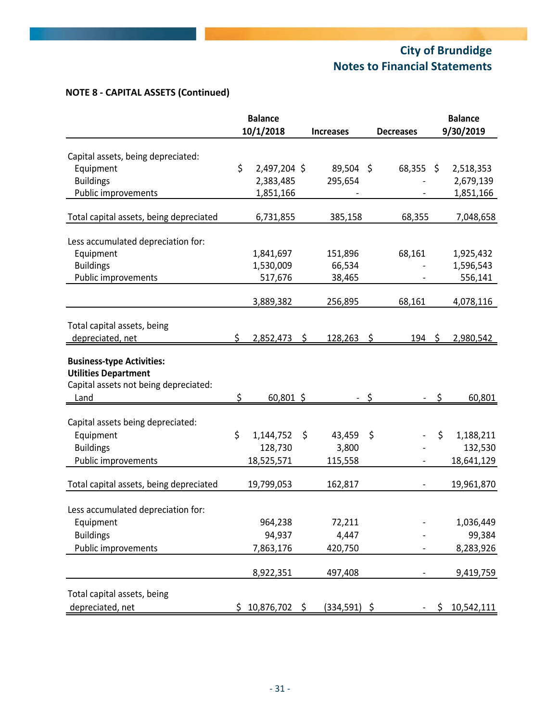# **NOTE 8 ‐ CAPITAL ASSETS (Continued)**

|                                                 |    | <b>Balance</b>   |                  |    |                   |    | <b>Balance</b> |
|-------------------------------------------------|----|------------------|------------------|----|-------------------|----|----------------|
|                                                 |    | 10/1/2018        | <b>Increases</b> |    | <b>Decreases</b>  |    | 9/30/2019      |
|                                                 |    |                  |                  |    |                   |    |                |
| Capital assets, being depreciated:<br>Equipment | \$ | 2,497,204 \$     | 89,504 \$        |    | $68,355$ \$       |    | 2,518,353      |
| <b>Buildings</b>                                |    | 2,383,485        | 295,654          |    |                   |    | 2,679,139      |
| Public improvements                             |    | 1,851,166        |                  |    |                   |    | 1,851,166      |
|                                                 |    |                  |                  |    |                   |    |                |
| Total capital assets, being depreciated         |    | 6,731,855        | 385,158          |    | 68,355            |    | 7,048,658      |
| Less accumulated depreciation for:              |    |                  |                  |    |                   |    |                |
| Equipment                                       |    | 1,841,697        | 151,896          |    | 68,161            |    | 1,925,432      |
| <b>Buildings</b>                                |    | 1,530,009        | 66,534           |    |                   |    | 1,596,543      |
| Public improvements                             |    | 517,676          | 38,465           |    |                   |    | 556,141        |
|                                                 |    |                  |                  |    |                   |    |                |
|                                                 |    | 3,889,382        | 256,895          |    | 68,161            |    | 4,078,116      |
| Total capital assets, being                     |    |                  |                  |    |                   |    |                |
| depreciated, net                                | Ś. | $2,852,473$ \$   | $128,263$ \$     |    | $194 \; \text{S}$ |    | 2,980,542      |
|                                                 |    |                  |                  |    |                   |    |                |
| <b>Business-type Activities:</b>                |    |                  |                  |    |                   |    |                |
| <b>Utilities Department</b>                     |    |                  |                  |    |                   |    |                |
| Capital assets not being depreciated:           |    |                  |                  |    |                   |    |                |
| Land                                            | \$ | $60,801$ \$      |                  | S  |                   | S  | 60,801         |
|                                                 |    |                  |                  |    |                   |    |                |
| Capital assets being depreciated:               |    |                  |                  |    |                   |    |                |
| Equipment                                       | \$ | 1,144,752        | \$<br>43,459     | \$ |                   | \$ | 1,188,211      |
| <b>Buildings</b>                                |    | 128,730          | 3,800            |    |                   |    | 132,530        |
| Public improvements                             |    | 18,525,571       | 115,558          |    |                   |    | 18,641,129     |
| Total capital assets, being depreciated         |    | 19,799,053       | 162,817          |    |                   |    | 19,961,870     |
|                                                 |    |                  |                  |    |                   |    |                |
| Less accumulated depreciation for:              |    |                  |                  |    |                   |    |                |
| Equipment                                       |    | 964,238          | 72,211           |    |                   |    | 1,036,449      |
| <b>Buildings</b>                                |    | 94,937           | 4,447            |    |                   |    | 99,384         |
| Public improvements                             |    | 7,863,176        | 420,750          |    |                   |    | 8,283,926      |
|                                                 |    |                  |                  |    |                   |    |                |
|                                                 |    | 8,922,351        | 497,408          |    |                   |    | 9,419,759      |
| Total capital assets, being                     |    |                  |                  |    |                   |    |                |
| depreciated, net                                |    | $$10,876,702$ \$ | $(334,591)$ \$   |    |                   |    | \$10,542,111   |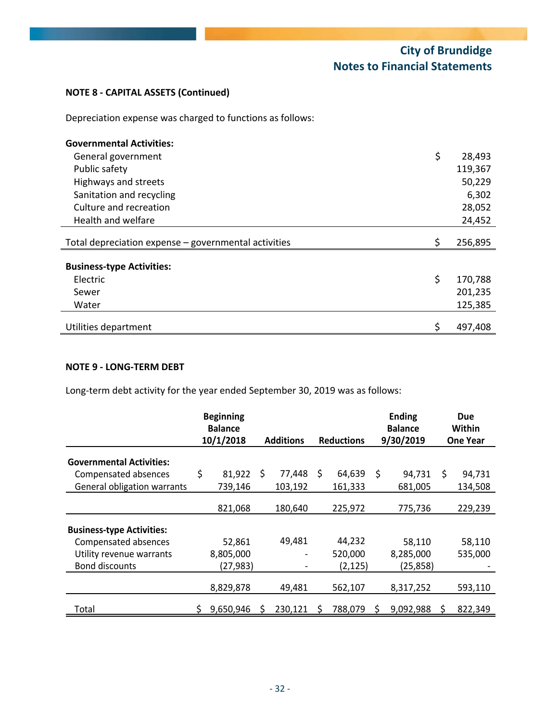### **NOTE 8 ‐ CAPITAL ASSETS (Continued)**

Depreciation expense was charged to functions as follows:

| <b>Governmental Activities:</b>                      |               |
|------------------------------------------------------|---------------|
| General government                                   | \$<br>28,493  |
| Public safety                                        | 119,367       |
| Highways and streets                                 | 50,229        |
| Sanitation and recycling                             | 6,302         |
| Culture and recreation                               | 28,052        |
| Health and welfare                                   | 24,452        |
|                                                      |               |
| Total depreciation expense – governmental activities | \$<br>256,895 |
|                                                      |               |
| <b>Business-type Activities:</b>                     |               |
| Electric                                             | \$<br>170,788 |
| Sewer                                                | 201,235       |
| Water                                                | 125,385       |
|                                                      |               |
| Utilities department                                 | \$<br>497,408 |

### **NOTE 9 ‐ LONG‐TERM DEBT**

Long-term debt activity for the year ended September 30, 2019 was as follows:

|                                    | <b>Beginning</b><br><b>Balance</b><br>10/1/2018 | <b>Additions</b> |     | <b>Reductions</b> |    | <b>Ending</b><br><b>Balance</b><br>9/30/2019 | <b>Due</b><br>Within<br><b>One Year</b> |
|------------------------------------|-------------------------------------------------|------------------|-----|-------------------|----|----------------------------------------------|-----------------------------------------|
|                                    |                                                 |                  |     |                   |    |                                              |                                         |
| <b>Governmental Activities:</b>    |                                                 |                  |     |                   |    |                                              |                                         |
| Compensated absences               | \$<br>$81,922$ \$                               | 77,448           | -\$ | 64,639            | \$ | 94,731                                       | \$<br>94,731                            |
| <b>General obligation warrants</b> | 739,146                                         | 103,192          |     | 161,333           |    | 681,005                                      | 134,508                                 |
|                                    |                                                 |                  |     |                   |    |                                              |                                         |
|                                    | 821,068                                         | 180,640          |     | 225,972           |    | 775,736                                      | 229,239                                 |
| <b>Business-type Activities:</b>   |                                                 |                  |     |                   |    |                                              |                                         |
| Compensated absences               | 52,861                                          | 49,481           |     | 44,232            |    | 58,110                                       | 58,110                                  |
| Utility revenue warrants           | 8,805,000                                       |                  |     | 520,000           |    | 8,285,000                                    | 535,000                                 |
| <b>Bond discounts</b>              | (27, 983)                                       |                  |     | (2, 125)          |    | (25, 858)                                    |                                         |
|                                    |                                                 |                  |     |                   |    |                                              |                                         |
|                                    | 8,829,878                                       | 49,481           |     | 562,107           |    | 8,317,252                                    | 593,110                                 |
| Total                              | 9,650,946                                       | 230,121          |     | 788,079           | S  | 9,092,988                                    | 822,349                                 |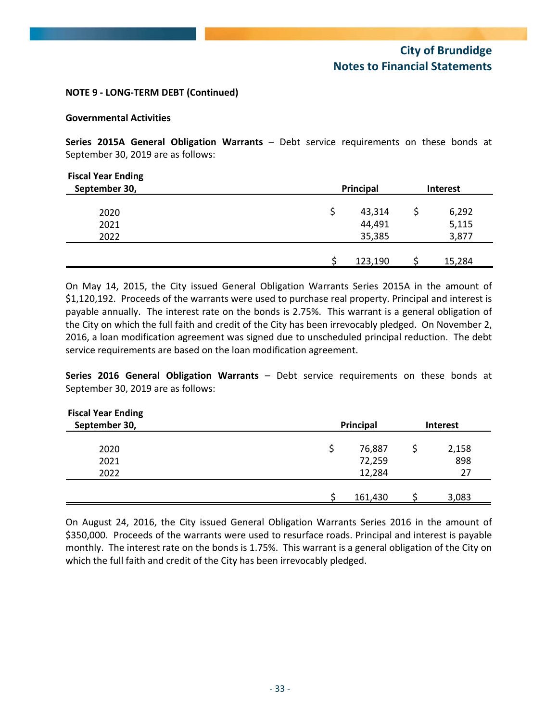### **NOTE 9 ‐ LONG‐TERM DEBT (Continued)**

### **Governmental Activities**

**Series 2015A General Obligation Warrants** – Debt service requirements on these bonds at September 30, 2019 are as follows:

| <b>Fiscal Year Ending</b><br>September 30, | Principal |  |        |
|--------------------------------------------|-----------|--|--------|
| 2020                                       | 43,314    |  | 6,292  |
| 2021                                       | 44,491    |  | 5,115  |
| 2022                                       | 35,385    |  | 3,877  |
|                                            | 123,190   |  | 15,284 |

On May 14, 2015, the City issued General Obligation Warrants Series 2015A in the amount of \$1,120,192. Proceeds of the warrants were used to purchase real property. Principal and interest is payable annually. The interest rate on the bonds is 2.75%. This warrant is a general obligation of the City on which the full faith and credit of the City has been irrevocably pledged. On November 2, 2016, a loan modification agreement was signed due to unscheduled principal reduction. The debt service requirements are based on the loan modification agreement.

**Series 2016 General Obligation Warrants** – Debt service requirements on these bonds at September 30, 2019 are as follows:

| <b>Fiscal Year Ending</b> |           |         |                 |
|---------------------------|-----------|---------|-----------------|
| September 30,             | Principal |         | <b>Interest</b> |
| 2020                      |           | 76,887  | 2,158           |
| 2021                      |           | 72,259  | 898             |
| 2022                      |           | 12,284  | 27              |
|                           |           |         |                 |
|                           |           | 161,430 | 3,083           |

On August 24, 2016, the City issued General Obligation Warrants Series 2016 in the amount of \$350,000. Proceeds of the warrants were used to resurface roads. Principal and interest is payable monthly. The interest rate on the bonds is 1.75%. This warrant is a general obligation of the City on which the full faith and credit of the City has been irrevocably pledged.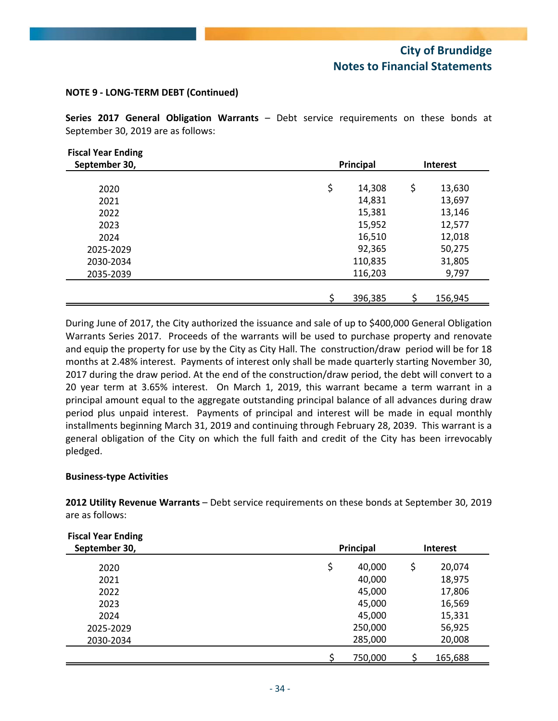#### **NOTE 9 ‐ LONG‐TERM DEBT (Continued)**

**Series 2017 General Obligation Warrants** – Debt service requirements on these bonds at September 30, 2019 are as follows:

### **Fiscal Year Ending**

| September 30, | Principal    |    | Interest |
|---------------|--------------|----|----------|
| 2020          | \$<br>14,308 | \$ | 13,630   |
| 2021          | 14,831       |    | 13,697   |
| 2022          | 15,381       |    | 13,146   |
| 2023          | 15,952       |    | 12,577   |
| 2024          | 16,510       |    | 12,018   |
| 2025-2029     | 92,365       |    | 50,275   |
| 2030-2034     | 110,835      |    | 31,805   |
| 2035-2039     | 116,203      |    | 9,797    |
|               |              |    |          |
|               | 396,385      |    | 156,945  |

During June of 2017, the City authorized the issuance and sale of up to \$400,000 General Obligation Warrants Series 2017. Proceeds of the warrants will be used to purchase property and renovate and equip the property for use by the City as City Hall. The construction/draw period will be for 18 months at 2.48% interest. Payments of interest only shall be made quarterly starting November 30, 2017 during the draw period. At the end of the construction/draw period, the debt will convert to a 20 year term at 3.65% interest. On March 1, 2019, this warrant became a term warrant in a principal amount equal to the aggregate outstanding principal balance of all advances during draw period plus unpaid interest. Payments of principal and interest will be made in equal monthly installments beginning March 31, 2019 and continuing through February 28, 2039. This warrant is a general obligation of the City on which the full faith and credit of the City has been irrevocably pledged.

### **Business‐type Activities**

**2012 Utility Revenue Warrants** – Debt service requirements on these bonds at September 30, 2019 are as follows:

| <b>Fiscal Year Ending</b> |              |    |                 |
|---------------------------|--------------|----|-----------------|
| September 30,             | Principal    |    | <b>Interest</b> |
| 2020                      | \$<br>40,000 | \$ | 20,074          |
| 2021                      | 40,000       |    | 18,975          |
| 2022                      | 45,000       |    | 17,806          |
| 2023                      | 45,000       |    | 16,569          |
| 2024                      | 45,000       |    | 15,331          |
| 2025-2029                 | 250,000      |    | 56,925          |
| 2030-2034                 | 285,000      |    | 20,008          |
|                           | 750,000      |    | 165,688         |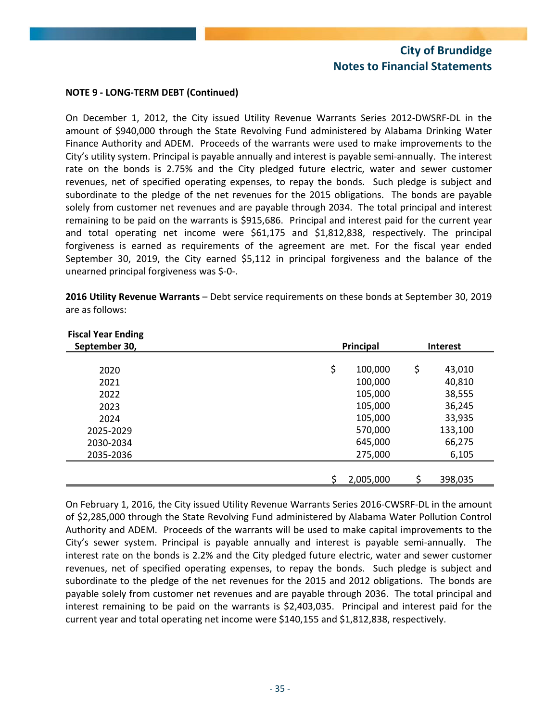#### **NOTE 9 ‐ LONG‐TERM DEBT (Continued)**

On December 1, 2012, the City issued Utility Revenue Warrants Series 2012‐DWSRF‐DL in the amount of \$940,000 through the State Revolving Fund administered by Alabama Drinking Water Finance Authority and ADEM. Proceeds of the warrants were used to make improvements to the City's utility system. Principal is payable annually and interest is payable semi‐annually. The interest rate on the bonds is 2.75% and the City pledged future electric, water and sewer customer revenues, net of specified operating expenses, to repay the bonds. Such pledge is subject and subordinate to the pledge of the net revenues for the 2015 obligations. The bonds are payable solely from customer net revenues and are payable through 2034. The total principal and interest remaining to be paid on the warrants is \$915,686. Principal and interest paid for the current year and total operating net income were \$61,175 and \$1,812,838, respectively. The principal forgiveness is earned as requirements of the agreement are met. For the fiscal year ended September 30, 2019, the City earned \$5,112 in principal forgiveness and the balance of the unearned principal forgiveness was \$‐0‐.

**2016 Utility Revenue Warrants** – Debt service requirements on these bonds at September 30, 2019 are as follows:

| <b>Fiscal Year Ending</b><br>September 30, | Principal                           |    | <b>Interest</b>            |
|--------------------------------------------|-------------------------------------|----|----------------------------|
| 2020<br>2021<br>2022                       | \$<br>100,000<br>100,000<br>105,000 | \$ | 43,010<br>40,810<br>38,555 |
| 2023<br>2024                               | 105,000<br>105,000                  |    | 36,245<br>33,935           |
| 2025-2029<br>2030-2034<br>2035-2036        | 570,000<br>645,000<br>275,000       |    | 133,100<br>66,275<br>6,105 |
|                                            | 2,005,000                           |    | 398,035                    |

On February 1, 2016, the City issued Utility Revenue Warrants Series 2016‐CWSRF‐DL in the amount of \$2,285,000 through the State Revolving Fund administered by Alabama Water Pollution Control Authority and ADEM. Proceeds of the warrants will be used to make capital improvements to the City's sewer system. Principal is payable annually and interest is payable semi-annually. The interest rate on the bonds is 2.2% and the City pledged future electric, water and sewer customer revenues, net of specified operating expenses, to repay the bonds. Such pledge is subject and subordinate to the pledge of the net revenues for the 2015 and 2012 obligations. The bonds are payable solely from customer net revenues and are payable through 2036. The total principal and interest remaining to be paid on the warrants is \$2,403,035. Principal and interest paid for the current year and total operating net income were \$140,155 and \$1,812,838, respectively.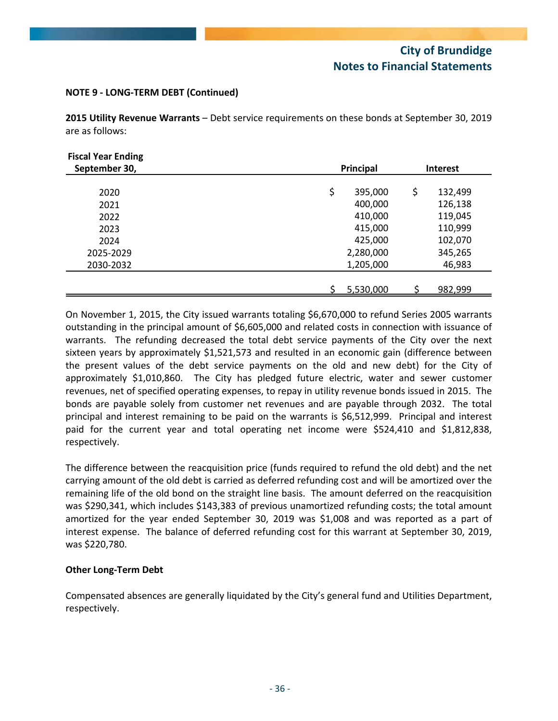### **NOTE 9 ‐ LONG‐TERM DEBT (Continued)**

**2015 Utility Revenue Warrants** – Debt service requirements on these bonds at September 30, 2019 are as follows:

| <b>Fiscal Year Ending</b> |               |                 |
|---------------------------|---------------|-----------------|
| September 30,             | Principal     | <b>Interest</b> |
|                           |               |                 |
| 2020                      | \$<br>395,000 | \$<br>132,499   |
| 2021                      | 400,000       | 126,138         |
| 2022                      | 410,000       | 119,045         |
| 2023                      | 415,000       | 110,999         |
| 2024                      | 425,000       | 102,070         |
| 2025-2029                 | 2,280,000     | 345,265         |
| 2030-2032                 | 1,205,000     | 46,983          |
|                           |               |                 |
|                           | 5,530,000     | 982,999         |

On November 1, 2015, the City issued warrants totaling \$6,670,000 to refund Series 2005 warrants outstanding in the principal amount of \$6,605,000 and related costs in connection with issuance of warrants. The refunding decreased the total debt service payments of the City over the next sixteen years by approximately \$1,521,573 and resulted in an economic gain (difference between the present values of the debt service payments on the old and new debt) for the City of approximately \$1,010,860. The City has pledged future electric, water and sewer customer revenues, net of specified operating expenses, to repay in utility revenue bonds issued in 2015. The bonds are payable solely from customer net revenues and are payable through 2032. The total principal and interest remaining to be paid on the warrants is \$6,512,999. Principal and interest paid for the current year and total operating net income were \$524,410 and \$1,812,838, respectively.

The difference between the reacquisition price (funds required to refund the old debt) and the net carrying amount of the old debt is carried as deferred refunding cost and will be amortized over the remaining life of the old bond on the straight line basis. The amount deferred on the reacquisition was \$290,341, which includes \$143,383 of previous unamortized refunding costs; the total amount amortized for the year ended September 30, 2019 was \$1,008 and was reported as a part of interest expense. The balance of deferred refunding cost for this warrant at September 30, 2019, was \$220,780.

### **Other Long‐Term Debt**

Compensated absences are generally liquidated by the City's general fund and Utilities Department, respectively.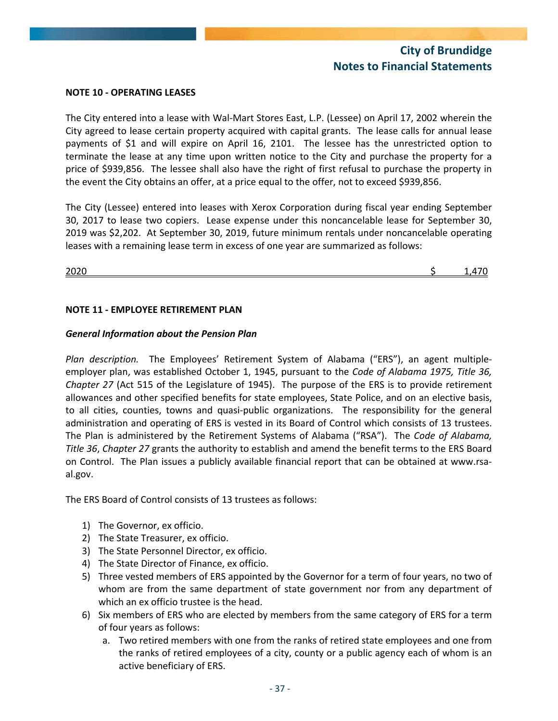#### **NOTE 10 ‐ OPERATING LEASES**

The City entered into a lease with Wal‐Mart Stores East, L.P. (Lessee) on April 17, 2002 wherein the City agreed to lease certain property acquired with capital grants. The lease calls for annual lease payments of \$1 and will expire on April 16, 2101. The lessee has the unrestricted option to terminate the lease at any time upon written notice to the City and purchase the property for a price of \$939,856. The lessee shall also have the right of first refusal to purchase the property in the event the City obtains an offer, at a price equal to the offer, not to exceed \$939,856.

The City (Lessee) entered into leases with Xerox Corporation during fiscal year ending September 30, 2017 to lease two copiers. Lease expense under this noncancelable lease for September 30, 2019 was \$2,202. At September 30, 2019, future minimum rentals under noncancelable operating leases with a remaining lease term in excess of one year are summarized as follows:

2020 \$ 1,470

### **NOTE 11 ‐ EMPLOYEE RETIREMENT PLAN**

#### *General Information about the Pension Plan*

*Plan description.* The Employees' Retirement System of Alabama ("ERS"), an agent multipleemployer plan, was established October 1, 1945, pursuant to the *Code of Alabama 1975, Title 36, Chapter 27* (Act 515 of the Legislature of 1945). The purpose of the ERS is to provide retirement allowances and other specified benefits for state employees, State Police, and on an elective basis, to all cities, counties, towns and quasi-public organizations. The responsibility for the general administration and operating of ERS is vested in its Board of Control which consists of 13 trustees. The Plan is administered by the Retirement Systems of Alabama ("RSA"). The *Code of Alabama, Title 36*, *Chapter 27* grants the authority to establish and amend the benefit terms to the ERS Board on Control. The Plan issues a publicly available financial report that can be obtained at www.rsa‐ al.gov.

The ERS Board of Control consists of 13 trustees as follows:

- 1) The Governor, ex officio.
- 2) The State Treasurer, ex officio.
- 3) The State Personnel Director, ex officio.
- 4) The State Director of Finance, ex officio.
- 5) Three vested members of ERS appointed by the Governor for a term of four years, no two of whom are from the same department of state government nor from any department of which an ex officio trustee is the head.
- 6) Six members of ERS who are elected by members from the same category of ERS for a term of four years as follows:
	- a. Two retired members with one from the ranks of retired state employees and one from the ranks of retired employees of a city, county or a public agency each of whom is an active beneficiary of ERS.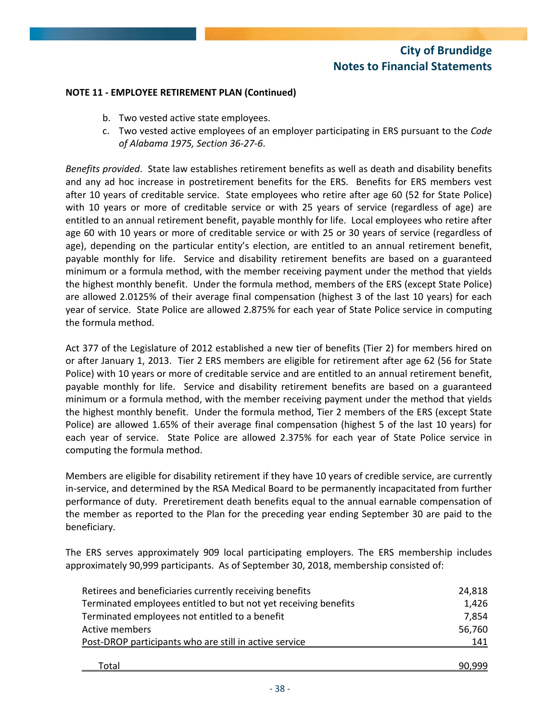### **NOTE 11 ‐ EMPLOYEE RETIREMENT PLAN (Continued)**

- b. Two vested active state employees.
- c. Two vested active employees of an employer participating in ERS pursuant to the *Code of Alabama 1975, Section 36‐27‐6*.

*Benefits provided*. State law establishes retirement benefits as well as death and disability benefits and any ad hoc increase in postretirement benefits for the ERS. Benefits for ERS members vest after 10 years of creditable service. State employees who retire after age 60 (52 for State Police) with 10 years or more of creditable service or with 25 years of service (regardless of age) are entitled to an annual retirement benefit, payable monthly for life. Local employees who retire after age 60 with 10 years or more of creditable service or with 25 or 30 years of service (regardless of age), depending on the particular entity's election, are entitled to an annual retirement benefit, payable monthly for life. Service and disability retirement benefits are based on a guaranteed minimum or a formula method, with the member receiving payment under the method that yields the highest monthly benefit. Under the formula method, members of the ERS (except State Police) are allowed 2.0125% of their average final compensation (highest 3 of the last 10 years) for each year of service. State Police are allowed 2.875% for each year of State Police service in computing the formula method.

Act 377 of the Legislature of 2012 established a new tier of benefits (Tier 2) for members hired on or after January 1, 2013. Tier 2 ERS members are eligible for retirement after age 62 (56 for State Police) with 10 years or more of creditable service and are entitled to an annual retirement benefit, payable monthly for life. Service and disability retirement benefits are based on a guaranteed minimum or a formula method, with the member receiving payment under the method that yields the highest monthly benefit. Under the formula method, Tier 2 members of the ERS (except State Police) are allowed 1.65% of their average final compensation (highest 5 of the last 10 years) for each year of service. State Police are allowed 2.375% for each year of State Police service in computing the formula method.

Members are eligible for disability retirement if they have 10 years of credible service, are currently in-service, and determined by the RSA Medical Board to be permanently incapacitated from further performance of duty. Preretirement death benefits equal to the annual earnable compensation of the member as reported to the Plan for the preceding year ending September 30 are paid to the beneficiary.

The ERS serves approximately 909 local participating employers. The ERS membership includes approximately 90,999 participants. As of September 30, 2018, membership consisted of:

| Retirees and beneficiaries currently receiving benefits         | 24,818 |
|-----------------------------------------------------------------|--------|
| Terminated employees entitled to but not yet receiving benefits | 1,426  |
| Terminated employees not entitled to a benefit                  | 7,854  |
| Active members                                                  | 56,760 |
| Post-DROP participants who are still in active service          | 141    |
|                                                                 |        |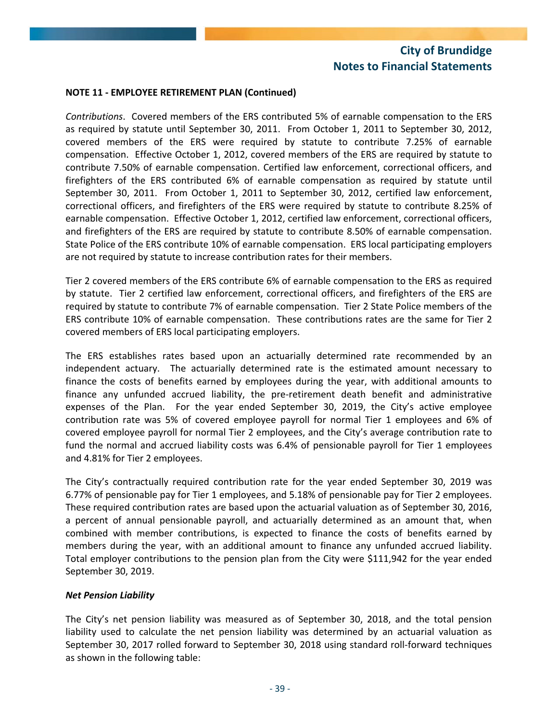#### **NOTE 11 ‐ EMPLOYEE RETIREMENT PLAN (Continued)**

*Contributions*. Covered members of the ERS contributed 5% of earnable compensation to the ERS as required by statute until September 30, 2011. From October 1, 2011 to September 30, 2012, covered members of the ERS were required by statute to contribute 7.25% of earnable compensation. Effective October 1, 2012, covered members of the ERS are required by statute to contribute 7.50% of earnable compensation. Certified law enforcement, correctional officers, and firefighters of the ERS contributed 6% of earnable compensation as required by statute until September 30, 2011. From October 1, 2011 to September 30, 2012, certified law enforcement, correctional officers, and firefighters of the ERS were required by statute to contribute 8.25% of earnable compensation. Effective October 1, 2012, certified law enforcement, correctional officers, and firefighters of the ERS are required by statute to contribute 8.50% of earnable compensation. State Police of the ERS contribute 10% of earnable compensation. ERS local participating employers are not required by statute to increase contribution rates for their members.

Tier 2 covered members of the ERS contribute 6% of earnable compensation to the ERS as required by statute. Tier 2 certified law enforcement, correctional officers, and firefighters of the ERS are required by statute to contribute 7% of earnable compensation. Tier 2 State Police members of the ERS contribute 10% of earnable compensation. These contributions rates are the same for Tier 2 covered members of ERS local participating employers.

The ERS establishes rates based upon an actuarially determined rate recommended by an independent actuary. The actuarially determined rate is the estimated amount necessary to finance the costs of benefits earned by employees during the year, with additional amounts to finance any unfunded accrued liability, the pre-retirement death benefit and administrative expenses of the Plan. For the year ended September 30, 2019, the City's active employee contribution rate was 5% of covered employee payroll for normal Tier 1 employees and 6% of covered employee payroll for normal Tier 2 employees, and the City's average contribution rate to fund the normal and accrued liability costs was 6.4% of pensionable payroll for Tier 1 employees and 4.81% for Tier 2 employees.

The City's contractually required contribution rate for the year ended September 30, 2019 was 6.77% of pensionable pay for Tier 1 employees, and 5.18% of pensionable pay for Tier 2 employees. These required contribution rates are based upon the actuarial valuation as of September 30, 2016, a percent of annual pensionable payroll, and actuarially determined as an amount that, when combined with member contributions, is expected to finance the costs of benefits earned by members during the year, with an additional amount to finance any unfunded accrued liability. Total employer contributions to the pension plan from the City were \$111,942 for the year ended September 30, 2019.

### *Net Pension Liability*

The City's net pension liability was measured as of September 30, 2018, and the total pension liability used to calculate the net pension liability was determined by an actuarial valuation as September 30, 2017 rolled forward to September 30, 2018 using standard roll‐forward techniques as shown in the following table: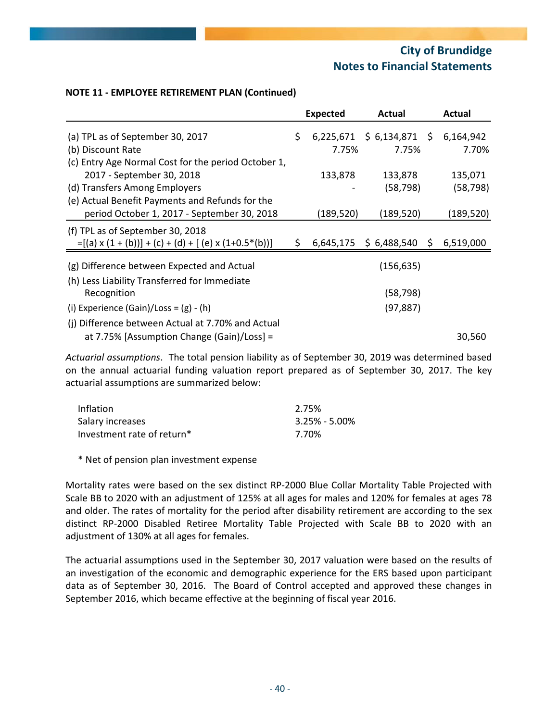### **NOTE 11 ‐ EMPLOYEE RETIREMENT PLAN (Continued)**

|                                                                                                                   |    | <b>Expected</b> | Actual                                   |    | <b>Actual</b>        |
|-------------------------------------------------------------------------------------------------------------------|----|-----------------|------------------------------------------|----|----------------------|
| (a) TPL as of September 30, 2017<br>(b) Discount Rate                                                             | \$ | 7.75%           | $6,225,671 \div 6,134,871 \div$<br>7.75% |    | 6,164,942<br>7.70%   |
| (c) Entry Age Normal Cost for the period October 1,<br>2017 - September 30, 2018<br>(d) Transfers Among Employers |    | 133,878         | 133,878<br>(58, 798)                     |    | 135,071<br>(58, 798) |
| (e) Actual Benefit Payments and Refunds for the<br>period October 1, 2017 - September 30, 2018                    |    | (189, 520)      | (189, 520)                               |    | (189, 520)           |
| (f) TPL as of September 30, 2018<br>$=[(a) \times (1 + (b))] + (c) + (d) + [(e) \times (1 + 0.5*(b))]$            | S. |                 | 6,645,175 \$ 6,488,540                   | S. | 6,519,000            |
| (g) Difference between Expected and Actual<br>(h) Less Liability Transferred for Immediate                        |    |                 | (156, 635)                               |    |                      |
| Recognition                                                                                                       |    |                 | (58, 798)                                |    |                      |
| (i) Experience $(Gain)/Loss = (g) - (h)$                                                                          |    |                 | (97, 887)                                |    |                      |
| (i) Difference between Actual at 7.70% and Actual<br>at 7.75% [Assumption Change (Gain)/Loss] =                   |    |                 |                                          |    | 30,560               |

*Actuarial assumptions*. The total pension liability as of September 30, 2019 was determined based on the annual actuarial funding valuation report prepared as of September 30, 2017. The key actuarial assumptions are summarized below:

| <b>Inflation</b>           | 2.75%            |
|----------------------------|------------------|
| Salary increases           | $3.25\%$ - 5.00% |
| Investment rate of return* | 7.70%            |

\* Net of pension plan investment expense

Mortality rates were based on the sex distinct RP‐2000 Blue Collar Mortality Table Projected with Scale BB to 2020 with an adjustment of 125% at all ages for males and 120% for females at ages 78 and older. The rates of mortality for the period after disability retirement are according to the sex distinct RP‐2000 Disabled Retiree Mortality Table Projected with Scale BB to 2020 with an adjustment of 130% at all ages for females.

The actuarial assumptions used in the September 30, 2017 valuation were based on the results of an investigation of the economic and demographic experience for the ERS based upon participant data as of September 30, 2016. The Board of Control accepted and approved these changes in September 2016, which became effective at the beginning of fiscal year 2016.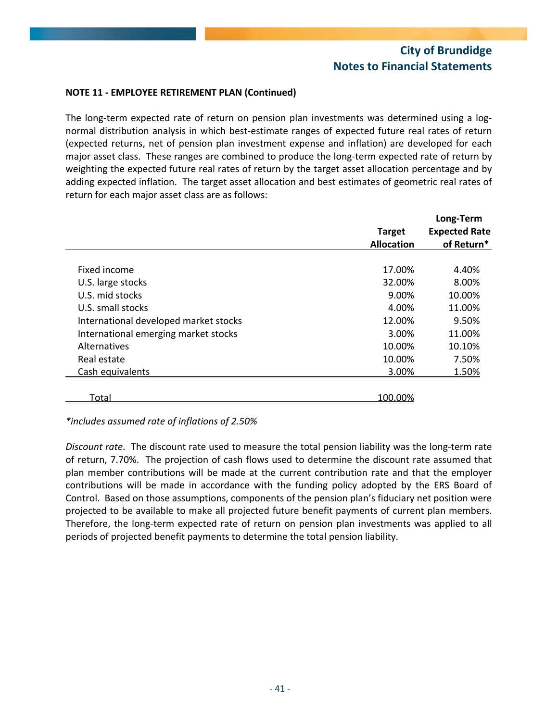### **NOTE 11 ‐ EMPLOYEE RETIREMENT PLAN (Continued)**

The long-term expected rate of return on pension plan investments was determined using a lognormal distribution analysis in which best-estimate ranges of expected future real rates of return (expected returns, net of pension plan investment expense and inflation) are developed for each major asset class. These ranges are combined to produce the long-term expected rate of return by weighting the expected future real rates of return by the target asset allocation percentage and by adding expected inflation. The target asset allocation and best estimates of geometric real rates of return for each major asset class are as follows:

|                                       | <b>Target</b><br><b>Allocation</b> | Long-Term<br><b>Expected Rate</b><br>of Return* |
|---------------------------------------|------------------------------------|-------------------------------------------------|
| Fixed income                          | 17.00%                             | 4.40%                                           |
| U.S. large stocks                     | 32.00%                             | 8.00%                                           |
| U.S. mid stocks                       | 9.00%                              | 10.00%                                          |
| U.S. small stocks                     | 4.00%                              | 11.00%                                          |
| International developed market stocks | 12.00%                             | 9.50%                                           |
| International emerging market stocks  | 3.00%                              | 11.00%                                          |
| Alternatives                          | 10.00%                             | 10.10%                                          |
| Real estate                           | 10.00%                             | 7.50%                                           |
| Cash equivalents                      | 3.00%                              | 1.50%                                           |
|                                       |                                    |                                                 |
| Total                                 | 100.00%                            |                                                 |

*\*includes assumed rate of inflations of 2.50%* 

*Discount rate*. The discount rate used to measure the total pension liability was the long‐term rate of return, 7.70%. The projection of cash flows used to determine the discount rate assumed that plan member contributions will be made at the current contribution rate and that the employer contributions will be made in accordance with the funding policy adopted by the ERS Board of Control. Based on those assumptions, components of the pension plan's fiduciary net position were projected to be available to make all projected future benefit payments of current plan members. Therefore, the long-term expected rate of return on pension plan investments was applied to all periods of projected benefit payments to determine the total pension liability.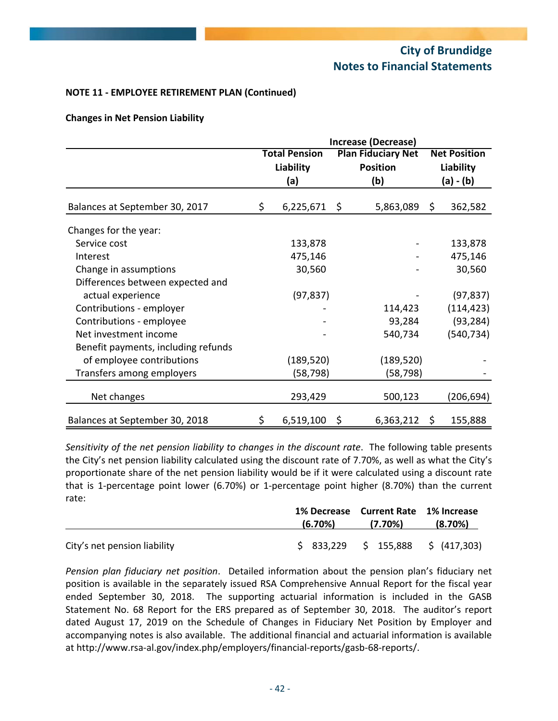### **NOTE 11 ‐ EMPLOYEE RETIREMENT PLAN (Continued)**

**Changes in Net Pension Liability** 

|                                     | <b>Increase (Decrease)</b> |                      |    |                           |    |                     |  |
|-------------------------------------|----------------------------|----------------------|----|---------------------------|----|---------------------|--|
|                                     |                            | <b>Total Pension</b> |    | <b>Plan Fiduciary Net</b> |    | <b>Net Position</b> |  |
|                                     |                            | Liability            |    | <b>Position</b>           |    | Liability           |  |
|                                     |                            | (a)                  |    | (b)                       |    | $(a) - (b)$         |  |
|                                     |                            |                      |    |                           |    |                     |  |
| Balances at September 30, 2017      | \$                         | 6,225,671            | \$ | 5,863,089                 | \$ | 362,582             |  |
| Changes for the year:               |                            |                      |    |                           |    |                     |  |
| Service cost                        |                            | 133,878              |    |                           |    | 133,878             |  |
| Interest                            |                            | 475,146              |    |                           |    | 475,146             |  |
| Change in assumptions               |                            | 30,560               |    |                           |    | 30,560              |  |
| Differences between expected and    |                            |                      |    |                           |    |                     |  |
| actual experience                   |                            | (97, 837)            |    |                           |    | (97, 837)           |  |
| Contributions - employer            |                            |                      |    | 114,423                   |    | (114, 423)          |  |
| Contributions - employee            |                            |                      |    | 93,284                    |    | (93, 284)           |  |
| Net investment income               |                            |                      |    | 540,734                   |    | (540, 734)          |  |
| Benefit payments, including refunds |                            |                      |    |                           |    |                     |  |
| of employee contributions           |                            | (189, 520)           |    | (189, 520)                |    |                     |  |
| Transfers among employers           |                            | (58, 798)            |    | (58, 798)                 |    |                     |  |
| Net changes                         |                            | 293,429              |    | 500,123                   |    | (206, 694)          |  |
| Balances at September 30, 2018      | \$                         | 6,519,100            | \$ | 6,363,212                 | \$ | 155,888             |  |

*Sensitivity of the net pension liability to changes in the discount rate*. The following table presents the City's net pension liability calculated using the discount rate of 7.70%, as well as what the City's proportionate share of the net pension liability would be if it were calculated using a discount rate that is 1-percentage point lower (6.70%) or 1-percentage point higher (8.70%) than the current rate:

|                              | (6.70%) | 1% Decrease Current Rate 1% Increase<br>$(7.70\%)$ | (8.70%) |
|------------------------------|---------|----------------------------------------------------|---------|
|                              |         |                                                    |         |
| City's net pension liability |         | $$833,229$ $$155,888$ $$ (417,303)$                |         |

*Pension plan fiduciary net position*. Detailed information about the pension plan's fiduciary net position is available in the separately issued RSA Comprehensive Annual Report for the fiscal year ended September 30, 2018. The supporting actuarial information is included in the GASB Statement No. 68 Report for the ERS prepared as of September 30, 2018. The auditor's report dated August 17, 2019 on the Schedule of Changes in Fiduciary Net Position by Employer and accompanying notes is also available. The additional financial and actuarial information is available at http://www.rsa‐al.gov/index.php/employers/financial‐reports/gasb‐68‐reports/.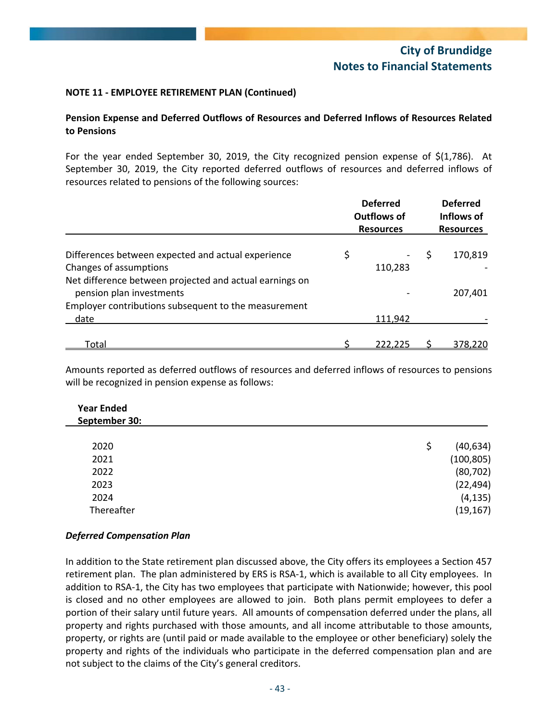### **NOTE 11 ‐ EMPLOYEE RETIREMENT PLAN (Continued)**

### **Pension Expense and Deferred Outflows of Resources and Deferred Inflows of Resources Related to Pensions**

For the year ended September 30, 2019, the City recognized pension expense of  $\frac{2(1,786)}{2}$ . At September 30, 2019, the City reported deferred outflows of resources and deferred inflows of resources related to pensions of the following sources:

|                                                         | <b>Deferred</b><br>Outflows of<br><b>Resources</b> | <b>Deferred</b><br>Inflows of<br><b>Resources</b> |
|---------------------------------------------------------|----------------------------------------------------|---------------------------------------------------|
| Differences between expected and actual experience      | \$                                                 | 170,819                                           |
| Changes of assumptions                                  | 110,283                                            |                                                   |
| Net difference between projected and actual earnings on |                                                    |                                                   |
| pension plan investments                                |                                                    | 207,401                                           |
| Employer contributions subsequent to the measurement    |                                                    |                                                   |
| date                                                    | 111,942                                            |                                                   |
|                                                         |                                                    |                                                   |
| Total                                                   | 222,225                                            | 378,220                                           |

Amounts reported as deferred outflows of resources and deferred inflows of resources to pensions will be recognized in pension expense as follows:

### **Year Ended September 30:**

| 2020       | (40, 634)  |
|------------|------------|
| 2021       | (100, 805) |
| 2022       | (80, 702)  |
| 2023       | (22, 494)  |
| 2024       | (4, 135)   |
| Thereafter | (19, 167)  |
|            |            |

### *Deferred Compensation Plan*

In addition to the State retirement plan discussed above, the City offers its employees a Section 457 retirement plan. The plan administered by ERS is RSA‐1, which is available to all City employees. In addition to RSA‐1, the City has two employees that participate with Nationwide; however, this pool is closed and no other employees are allowed to join. Both plans permit employees to defer a portion of their salary until future years. All amounts of compensation deferred under the plans, all property and rights purchased with those amounts, and all income attributable to those amounts, property, or rights are (until paid or made available to the employee or other beneficiary) solely the property and rights of the individuals who participate in the deferred compensation plan and are not subject to the claims of the City's general creditors.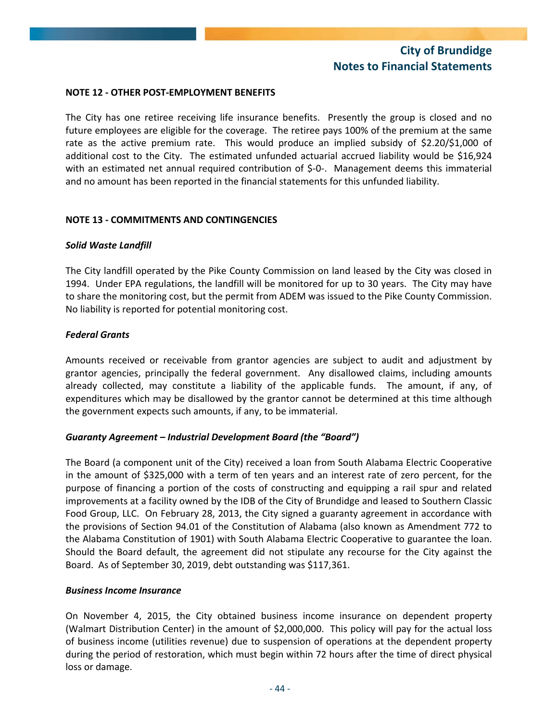### **NOTE 12 ‐ OTHER POST‐EMPLOYMENT BENEFITS**

The City has one retiree receiving life insurance benefits. Presently the group is closed and no future employees are eligible for the coverage. The retiree pays 100% of the premium at the same rate as the active premium rate. This would produce an implied subsidy of \$2.20/\$1,000 of additional cost to the City. The estimated unfunded actuarial accrued liability would be \$16,924 with an estimated net annual required contribution of  $\zeta$ -0-. Management deems this immaterial and no amount has been reported in the financial statements for this unfunded liability.

#### **NOTE 13 ‐ COMMITMENTS AND CONTINGENCIES**

#### *Solid Waste Landfill*

The City landfill operated by the Pike County Commission on land leased by the City was closed in 1994. Under EPA regulations, the landfill will be monitored for up to 30 years. The City may have to share the monitoring cost, but the permit from ADEM was issued to the Pike County Commission. No liability is reported for potential monitoring cost.

#### *Federal Grants*

Amounts received or receivable from grantor agencies are subject to audit and adjustment by grantor agencies, principally the federal government. Any disallowed claims, including amounts already collected, may constitute a liability of the applicable funds. The amount, if any, of expenditures which may be disallowed by the grantor cannot be determined at this time although the government expects such amounts, if any, to be immaterial.

### *Guaranty Agreement – Industrial Development Board (the "Board")*

The Board (a component unit of the City) received a loan from South Alabama Electric Cooperative in the amount of \$325,000 with a term of ten years and an interest rate of zero percent, for the purpose of financing a portion of the costs of constructing and equipping a rail spur and related improvements at a facility owned by the IDB of the City of Brundidge and leased to Southern Classic Food Group, LLC. On February 28, 2013, the City signed a guaranty agreement in accordance with the provisions of Section 94.01 of the Constitution of Alabama (also known as Amendment 772 to the Alabama Constitution of 1901) with South Alabama Electric Cooperative to guarantee the loan. Should the Board default, the agreement did not stipulate any recourse for the City against the Board. As of September 30, 2019, debt outstanding was \$117,361.

#### *Business Income Insurance*

On November 4, 2015, the City obtained business income insurance on dependent property (Walmart Distribution Center) in the amount of \$2,000,000. This policy will pay for the actual loss of business income (utilities revenue) due to suspension of operations at the dependent property during the period of restoration, which must begin within 72 hours after the time of direct physical loss or damage.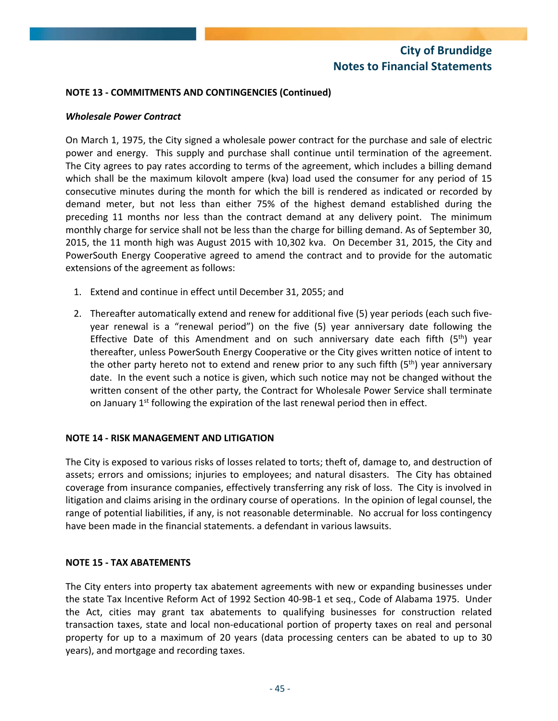### **NOTE 13 ‐ COMMITMENTS AND CONTINGENCIES (Continued)**

#### *Wholesale Power Contract*

On March 1, 1975, the City signed a wholesale power contract for the purchase and sale of electric power and energy. This supply and purchase shall continue until termination of the agreement. The City agrees to pay rates according to terms of the agreement, which includes a billing demand which shall be the maximum kilovolt ampere (kva) load used the consumer for any period of 15 consecutive minutes during the month for which the bill is rendered as indicated or recorded by demand meter, but not less than either 75% of the highest demand established during the preceding 11 months nor less than the contract demand at any delivery point. The minimum monthly charge for service shall not be less than the charge for billing demand. As of September 30, 2015, the 11 month high was August 2015 with 10,302 kva. On December 31, 2015, the City and PowerSouth Energy Cooperative agreed to amend the contract and to provide for the automatic extensions of the agreement as follows:

- 1. Extend and continue in effect until December 31, 2055; and
- 2. Thereafter automatically extend and renew for additional five (5) year periods (each such fiveyear renewal is a "renewal period") on the five (5) year anniversary date following the Effective Date of this Amendment and on such anniversary date each fifth  $(5<sup>th</sup>)$  year thereafter, unless PowerSouth Energy Cooperative or the City gives written notice of intent to the other party hereto not to extend and renew prior to any such fifth  $(5<sup>th</sup>)$  year anniversary date. In the event such a notice is given, which such notice may not be changed without the written consent of the other party, the Contract for Wholesale Power Service shall terminate on January  $1<sup>st</sup>$  following the expiration of the last renewal period then in effect.

### **NOTE 14 ‐ RISK MANAGEMENT AND LITIGATION**

The City is exposed to various risks of losses related to torts; theft of, damage to, and destruction of assets; errors and omissions; injuries to employees; and natural disasters. The City has obtained coverage from insurance companies, effectively transferring any risk of loss. The City is involved in litigation and claims arising in the ordinary course of operations. In the opinion of legal counsel, the range of potential liabilities, if any, is not reasonable determinable. No accrual for loss contingency have been made in the financial statements. a defendant in various lawsuits.

### **NOTE 15 ‐ TAX ABATEMENTS**

The City enters into property tax abatement agreements with new or expanding businesses under the state Tax Incentive Reform Act of 1992 Section 40‐9B‐1 et seq., Code of Alabama 1975. Under the Act, cities may grant tax abatements to qualifying businesses for construction related transaction taxes, state and local non‐educational portion of property taxes on real and personal property for up to a maximum of 20 years (data processing centers can be abated to up to 30 years), and mortgage and recording taxes.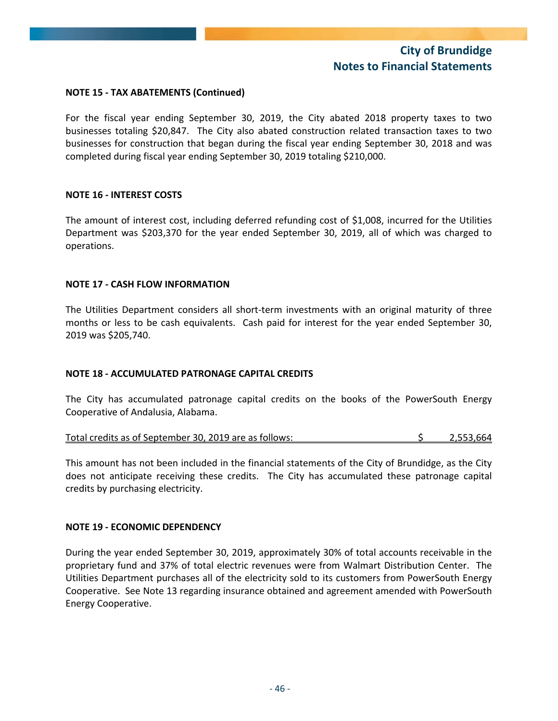#### **NOTE 15 ‐ TAX ABATEMENTS (Continued)**

For the fiscal year ending September 30, 2019, the City abated 2018 property taxes to two businesses totaling \$20,847. The City also abated construction related transaction taxes to two businesses for construction that began during the fiscal year ending September 30, 2018 and was completed during fiscal year ending September 30, 2019 totaling \$210,000.

#### **NOTE 16 ‐ INTEREST COSTS**

The amount of interest cost, including deferred refunding cost of \$1,008, incurred for the Utilities Department was \$203,370 for the year ended September 30, 2019, all of which was charged to operations.

#### **NOTE 17 ‐ CASH FLOW INFORMATION**

The Utilities Department considers all short-term investments with an original maturity of three months or less to be cash equivalents. Cash paid for interest for the year ended September 30, 2019 was \$205,740.

### **NOTE 18 ‐ ACCUMULATED PATRONAGE CAPITAL CREDITS**

The City has accumulated patronage capital credits on the books of the PowerSouth Energy Cooperative of Andalusia, Alabama.

Total credits as of September 30, 2019 are as follows:  $\frac{1}{2}$   $\frac{2,553,664}{2,553,664}$ 

This amount has not been included in the financial statements of the City of Brundidge, as the City does not anticipate receiving these credits. The City has accumulated these patronage capital credits by purchasing electricity.

#### **NOTE 19 ‐ ECONOMIC DEPENDENCY**

During the year ended September 30, 2019, approximately 30% of total accounts receivable in the proprietary fund and 37% of total electric revenues were from Walmart Distribution Center. The Utilities Department purchases all of the electricity sold to its customers from PowerSouth Energy Cooperative. See Note 13 regarding insurance obtained and agreement amended with PowerSouth Energy Cooperative.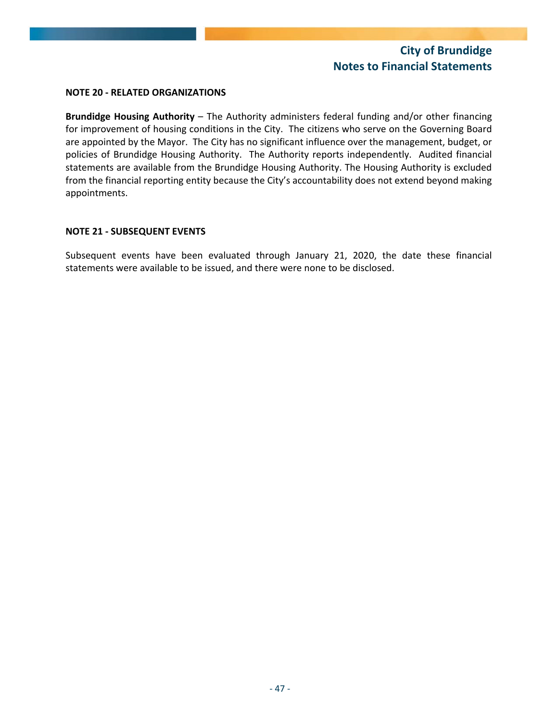### **NOTE 20 ‐ RELATED ORGANIZATIONS**

**Brundidge Housing Authority** – The Authority administers federal funding and/or other financing for improvement of housing conditions in the City. The citizens who serve on the Governing Board are appointed by the Mayor. The City has no significant influence over the management, budget, or policies of Brundidge Housing Authority. The Authority reports independently. Audited financial statements are available from the Brundidge Housing Authority. The Housing Authority is excluded from the financial reporting entity because the City's accountability does not extend beyond making appointments.

#### **NOTE 21 ‐ SUBSEQUENT EVENTS**

Subsequent events have been evaluated through January 21, 2020, the date these financial statements were available to be issued, and there were none to be disclosed.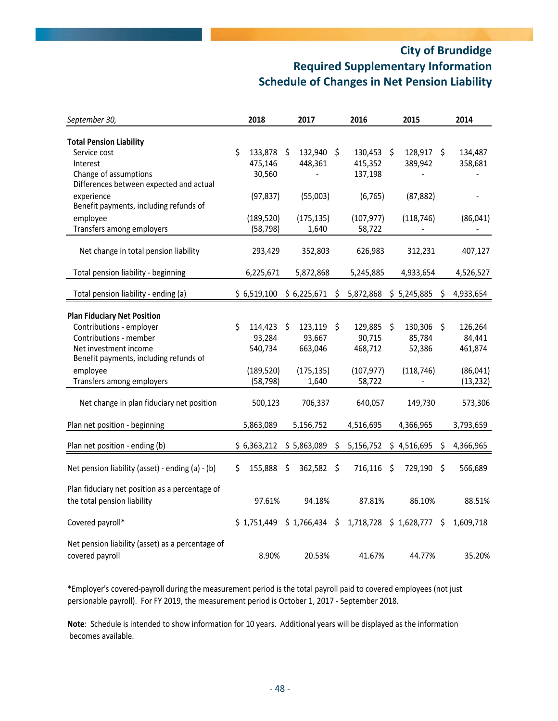# **City of Brundidge Required Supplementary Information Schedule of Changes in Net Pension Liability**

| September 30,                                                                                                                                                           |    | 2018                                          | 2017<br>2016                                    |    |                                                         | 2015 |                                              | 2014 |                                           |
|-------------------------------------------------------------------------------------------------------------------------------------------------------------------------|----|-----------------------------------------------|-------------------------------------------------|----|---------------------------------------------------------|------|----------------------------------------------|------|-------------------------------------------|
| <b>Total Pension Liability</b><br>Service cost<br>Interest<br>Change of assumptions<br>Differences between expected and actual                                          | \$ | 133,878 \$<br>475,146<br>30,560               | 132,940 \$<br>448,361<br>$\blacksquare$         |    | 130,453 \$<br>415,352<br>137,198                        |      | 128,917 \$<br>389,942<br>$\blacksquare$      |      | 134,487<br>358,681<br>$\overline{a}$      |
| experience<br>Benefit payments, including refunds of<br>employee<br>Transfers among employers                                                                           |    | (97, 837)<br>(189, 520)<br>(58, 798)          | (55,003)<br>(175, 135)<br>1,640                 |    | (6, 765)<br>(107, 977)<br>58,722                        |      | (87, 882)<br>(118, 746)                      |      | (86, 041)                                 |
| Net change in total pension liability<br>Total pension liability - beginning                                                                                            |    | 293,429<br>6,225,671                          | 352,803<br>5,872,868                            |    | 626,983<br>5,245,885                                    |      | 312,231<br>4,933,654                         |      | 407,127<br>4,526,527                      |
| Total pension liability - ending (a)                                                                                                                                    |    | \$6,519,100                                   | \$6,225,671                                     | S. | 5,872,868                                               |      | \$5,245,885                                  | S.   | 4,933,654                                 |
| <b>Plan Fiduciary Net Position</b><br>Contributions - employer<br>Contributions - member<br>Net investment income<br>Benefit payments, including refunds of<br>employee | Ś  | 114,423 \$<br>93,284<br>540,734<br>(189, 520) | $123,119$ \$<br>93,667<br>663,046<br>(175, 135) |    | 129,885 \$<br>90,715<br>468,712<br>(107, 977)           |      | 130,306 \$<br>85,784<br>52,386<br>(118, 746) |      | 126,264<br>84,441<br>461,874<br>(86, 041) |
| Transfers among employers<br>Net change in plan fiduciary net position<br>Plan net position - beginning                                                                 |    | (58, 798)<br>500,123<br>5,863,089             | 1,640<br>706,337<br>5,156,752                   |    | 58,722<br>640,057<br>4,516,695                          |      | $\blacksquare$<br>149,730<br>4,366,965       |      | (13, 232)<br>573,306<br>3,793,659         |
| Plan net position - ending (b)                                                                                                                                          |    |                                               | $$6,363,212$ $$5,863,089$ $$5,156,752$          |    |                                                         |      | $$4,516,695$ \$                              |      | 4,366,965                                 |
| Net pension liability (asset) - ending (a) - (b)                                                                                                                        | Ś. | 155,888 \$                                    | 362,582 \$                                      |    | 716,116                                                 | - \$ | 729,190 \$                                   |      | 566,689                                   |
| Plan fiduciary net position as a percentage of<br>the total pension liability                                                                                           |    | 97.61%                                        | 94.18%                                          |    | 87.81%                                                  |      | 86.10%                                       |      | 88.51%                                    |
| Covered payroll*                                                                                                                                                        |    |                                               |                                                 |    | $$1,751,449$ $$1,766,434$ $$1,718,728$ $$1,628,777$ $$$ |      |                                              |      | 1,609,718                                 |
| Net pension liability (asset) as a percentage of<br>covered payroll                                                                                                     |    | 8.90%                                         | 20.53%                                          |    | 41.67%                                                  |      | 44.77%                                       |      | 35.20%                                    |

\*Employer's covered‐payroll during the measurement period is the total payroll paid to covered employees (not just persionable payroll). For FY 2019, the measurement period is October 1, 2017 ‐ September 2018.

**Note**: Schedule is intended to show information for 10 years. Additional years will be displayed as the information becomes available.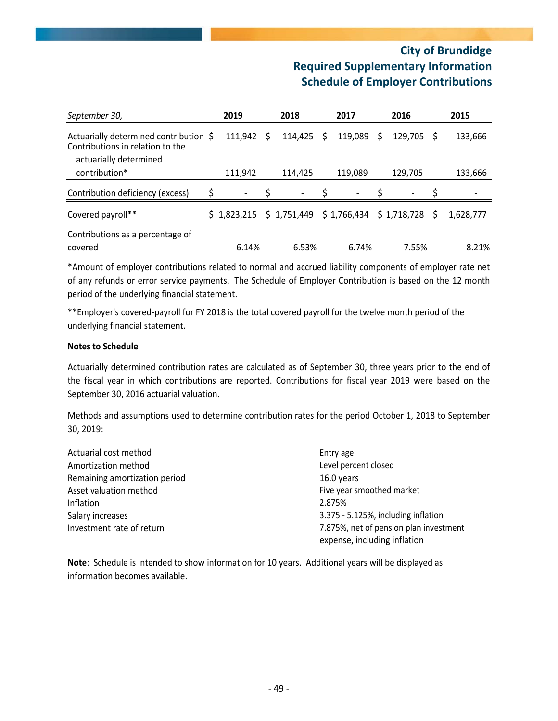# **City of Brundidge Required Supplementary Information Schedule of Employer Contributions**

| September 30,                                                              | 2019    |   | 2018                                                   |    | 2017                     | 2016    | 2015      |
|----------------------------------------------------------------------------|---------|---|--------------------------------------------------------|----|--------------------------|---------|-----------|
| Actuarially determined contribution \$<br>Contributions in relation to the | 111,942 | S | 114,425                                                | S. | $119,089$ \$             | 129,705 | 133,666   |
| actuarially determined                                                     |         |   |                                                        |    |                          |         |           |
| contribution*                                                              | 111,942 |   | 114,425                                                |    | 119,089                  | 129,705 | 133,666   |
| Contribution deficiency (excess)                                           |         |   | $\qquad \qquad \blacksquare$                           |    | $\overline{\phantom{a}}$ |         |           |
| Covered payroll**                                                          |         |   | $$1,823,215$ $$1,751,449$ $$1,766,434$ $$1,718,728$ \$ |    |                          |         | 1.628.777 |
| Contributions as a percentage of<br>covered                                | 6.14%   |   | 6.53%                                                  |    | 6.74%                    | 7.55%   | 8.21%     |

\*Amount of employer contributions related to normal and accrued liability components of employer rate net of any refunds or error service payments. The Schedule of Employer Contribution is based on the 12 month period of the underlying financial statement.

\*\*Employer's covered‐payroll for FY 2018 is the total covered payroll for the twelve month period of the underlying financial statement.

### **Notes to Schedule**

Actuarially determined contribution rates are calculated as of September 30, three years prior to the end of the fiscal year in which contributions are reported. Contributions for fiscal year 2019 were based on the September 30, 2016 actuarial valuation.

Methods and assumptions used to determine contribution rates for the period October 1, 2018 to September 30, 2019:

| Actuarial cost method         | Entry age                                                              |
|-------------------------------|------------------------------------------------------------------------|
| Amortization method           | Level percent closed                                                   |
| Remaining amortization period | 16.0 years                                                             |
| Asset valuation method        | Five year smoothed market                                              |
| Inflation                     | 2.875%                                                                 |
| Salary increases              | 3.375 - 5.125%, including inflation                                    |
| Investment rate of return     | 7.875%, net of pension plan investment<br>expense, including inflation |

**Note**: Schedule is intended to show information for 10 years. Additional years will be displayed as information becomes available.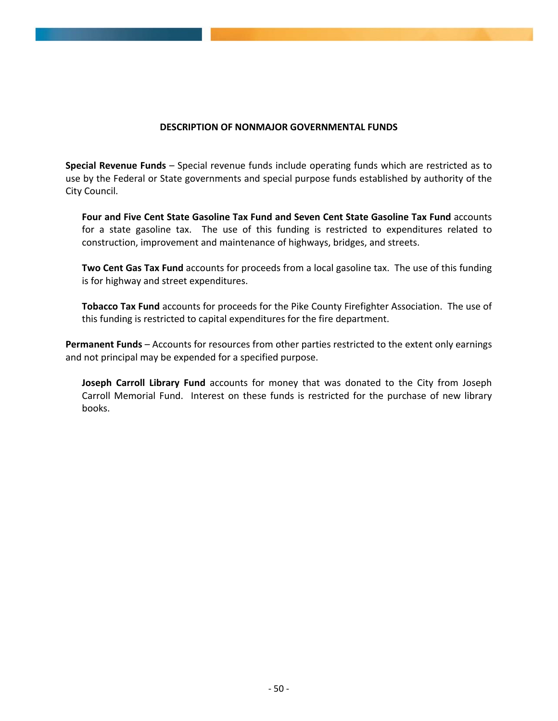### **DESCRIPTION OF NONMAJOR GOVERNMENTAL FUNDS**

**Special Revenue Funds** – Special revenue funds include operating funds which are restricted as to use by the Federal or State governments and special purpose funds established by authority of the City Council.

**Four and Five Cent State Gasoline Tax Fund and Seven Cent State Gasoline Tax Fund** accounts for a state gasoline tax. The use of this funding is restricted to expenditures related to construction, improvement and maintenance of highways, bridges, and streets.

**Two Cent Gas Tax Fund** accounts for proceeds from a local gasoline tax. The use of this funding is for highway and street expenditures.

**Tobacco Tax Fund** accounts for proceeds for the Pike County Firefighter Association. The use of this funding is restricted to capital expenditures for the fire department.

**Permanent Funds** – Accounts for resources from other parties restricted to the extent only earnings and not principal may be expended for a specified purpose.

**Joseph Carroll Library Fund** accounts for money that was donated to the City from Joseph Carroll Memorial Fund. Interest on these funds is restricted for the purchase of new library books.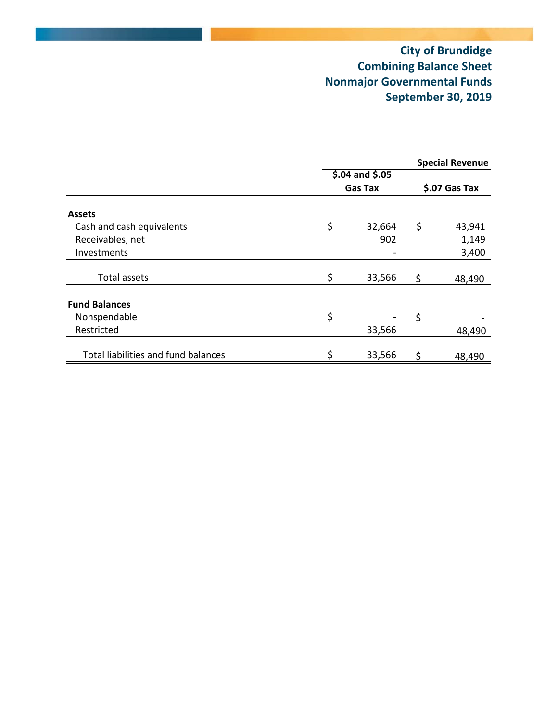# **City of Brundidge Combining Balance Sheet Nonmajor Governmental Funds September 30, 2019**

|                                            |                   |               | <b>Special Revenue</b> |  |
|--------------------------------------------|-------------------|---------------|------------------------|--|
|                                            | $$.04$ and $$.05$ |               |                        |  |
|                                            | <b>Gas Tax</b>    | \$.07 Gas Tax |                        |  |
|                                            |                   |               |                        |  |
| <b>Assets</b>                              |                   |               |                        |  |
| Cash and cash equivalents                  | \$<br>32,664      | \$            | 43,941                 |  |
| Receivables, net                           | 902               |               | 1,149                  |  |
| Investments                                |                   |               | 3,400                  |  |
|                                            |                   |               |                        |  |
| <b>Total assets</b>                        | \$<br>33,566      |               | 48,490                 |  |
|                                            |                   |               |                        |  |
| <b>Fund Balances</b>                       |                   |               |                        |  |
| Nonspendable                               | \$                | \$            |                        |  |
| Restricted                                 | 33,566            |               | 48,490                 |  |
|                                            |                   |               |                        |  |
| <b>Total liabilities and fund balances</b> | \$<br>33,566      |               | 48,490                 |  |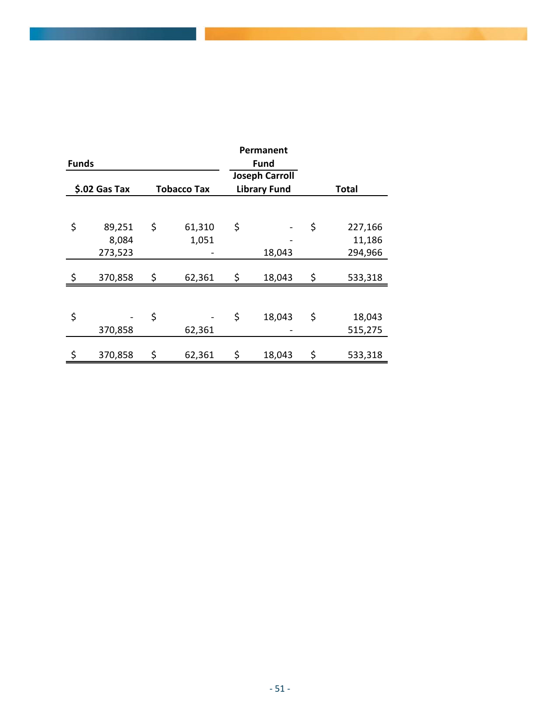|              |               |                    | Permanent             |               |  |  |
|--------------|---------------|--------------------|-----------------------|---------------|--|--|
| <b>Funds</b> |               |                    | <b>Fund</b>           |               |  |  |
|              |               |                    | <b>Joseph Carroll</b> |               |  |  |
|              | \$.02 Gas Tax | <b>Tobacco Tax</b> | <b>Library Fund</b>   | <b>Total</b>  |  |  |
|              |               |                    |                       |               |  |  |
| \$           | 89,251        | \$<br>61,310       | \$                    | \$<br>227,166 |  |  |
|              | 8,084         | 1,051              |                       | 11,186        |  |  |
|              | 273,523       |                    | 18,043                | 294,966       |  |  |
|              |               |                    |                       |               |  |  |
| \$           | 370,858       | \$<br>62,361       | \$<br>18,043          | \$<br>533,318 |  |  |
|              |               |                    |                       |               |  |  |
|              |               |                    |                       |               |  |  |
| \$           |               | \$                 | \$<br>18,043          | \$<br>18,043  |  |  |
|              | 370,858       | 62,361             |                       | 515,275       |  |  |
|              |               |                    |                       |               |  |  |
| \$           | 370,858       | \$<br>62,361       | \$<br>18,043          | \$<br>533,318 |  |  |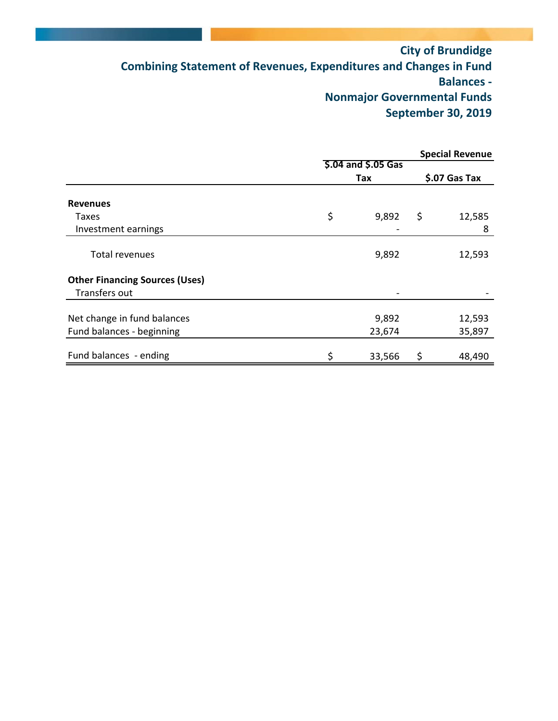# **City of Brundidge Combining Statement of Revenues, Expenditures and Changes in Fund**  Balances -**Nonmajor Governmental Funds September 30, 2019**

|                                       |                     |               | <b>Special Revenue</b> |  |
|---------------------------------------|---------------------|---------------|------------------------|--|
|                                       | \$.04 and \$.05 Gas |               |                        |  |
|                                       | Tax                 | \$.07 Gas Tax |                        |  |
|                                       |                     |               |                        |  |
| <b>Revenues</b>                       |                     |               |                        |  |
| <b>Taxes</b>                          | \$<br>9,892         | \$            | 12,585                 |  |
| Investment earnings                   |                     |               | 8                      |  |
|                                       |                     |               |                        |  |
| <b>Total revenues</b>                 | 9,892               |               | 12,593                 |  |
|                                       |                     |               |                        |  |
| <b>Other Financing Sources (Uses)</b> |                     |               |                        |  |
| Transfers out                         |                     |               |                        |  |
|                                       |                     |               |                        |  |
| Net change in fund balances           | 9,892               |               | 12,593                 |  |
| Fund balances - beginning             | 23,674              |               | 35,897                 |  |
|                                       |                     |               |                        |  |
| Fund balances - ending                | 33,566              | \$            | 48,490                 |  |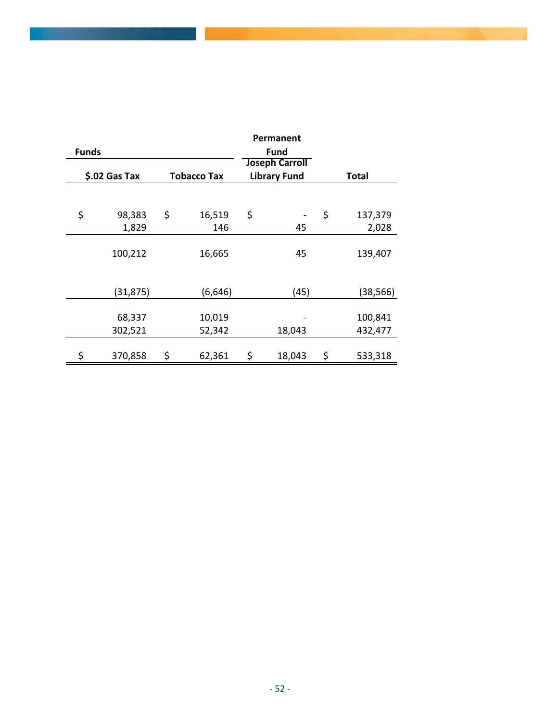| <b>Funds</b> |                   |                     | Permanent<br>Fund<br><b>Joseph Carroll</b> |                        |  |  |
|--------------|-------------------|---------------------|--------------------------------------------|------------------------|--|--|
|              | \$.02 Gas Tax     | <b>Tobacco Tax</b>  | <b>Library Fund</b>                        | <b>Total</b>           |  |  |
|              |                   |                     |                                            |                        |  |  |
| \$           | 98,383<br>1,829   | \$<br>16,519<br>146 | \$<br>45                                   | \$<br>137,379<br>2,028 |  |  |
|              | 100,212           | 16,665              | 45                                         | 139,407                |  |  |
|              | (31, 875)         | (6,646)             | (45)                                       | (38, 566)              |  |  |
|              | 68,337<br>302,521 | 10,019<br>52,342    | 18,043                                     | 100,841<br>432,477     |  |  |
| \$           | 370,858           | \$<br>62,361        | \$<br>18,043                               | \$<br>533,318          |  |  |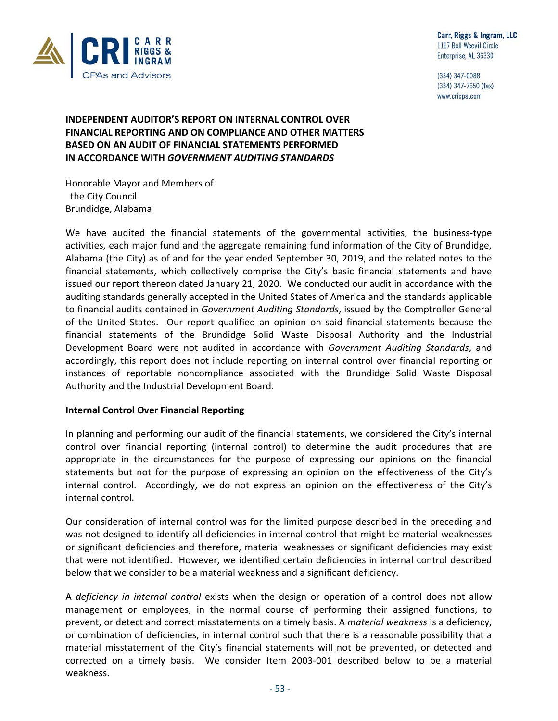

Carr, Riggs & Ingram, LLC 1117 Boll Weevil Circle Enterprise, AL 36330

(334) 347-0088 (334) 347-7650 (fax) www.cricpa.com

### **INDEPENDENT AUDITOR'S REPORT ON INTERNAL CONTROL OVER FINANCIAL REPORTING AND ON COMPLIANCE AND OTHER MATTERS BASED ON AN AUDIT OF FINANCIAL STATEMENTS PERFORMED IN ACCORDANCE WITH** *GOVERNMENT AUDITING STANDARDS*

Honorable Mayor and Members of the City Council Brundidge, Alabama

We have audited the financial statements of the governmental activities, the business-type activities, each major fund and the aggregate remaining fund information of the City of Brundidge, Alabama (the City) as of and for the year ended September 30, 2019, and the related notes to the financial statements, which collectively comprise the City's basic financial statements and have issued our report thereon dated January 21, 2020. We conducted our audit in accordance with the auditing standards generally accepted in the United States of America and the standards applicable to financial audits contained in *Government Auditing Standards*, issued by the Comptroller General of the United States. Our report qualified an opinion on said financial statements because the financial statements of the Brundidge Solid Waste Disposal Authority and the Industrial Development Board were not audited in accordance with *Government Auditing Standards*, and accordingly, this report does not include reporting on internal control over financial reporting or instances of reportable noncompliance associated with the Brundidge Solid Waste Disposal Authority and the Industrial Development Board.

### **Internal Control Over Financial Reporting**

In planning and performing our audit of the financial statements, we considered the City's internal control over financial reporting (internal control) to determine the audit procedures that are appropriate in the circumstances for the purpose of expressing our opinions on the financial statements but not for the purpose of expressing an opinion on the effectiveness of the City's internal control. Accordingly, we do not express an opinion on the effectiveness of the City's internal control.

Our consideration of internal control was for the limited purpose described in the preceding and was not designed to identify all deficiencies in internal control that might be material weaknesses or significant deficiencies and therefore, material weaknesses or significant deficiencies may exist that were not identified. However, we identified certain deficiencies in internal control described below that we consider to be a material weakness and a significant deficiency.

A *deficiency in internal control* exists when the design or operation of a control does not allow management or employees, in the normal course of performing their assigned functions, to prevent, or detect and correct misstatements on a timely basis. A *material weakness* is a deficiency, or combination of deficiencies, in internal control such that there is a reasonable possibility that a material misstatement of the City's financial statements will not be prevented, or detected and corrected on a timely basis. We consider Item 2003-001 described below to be a material weakness.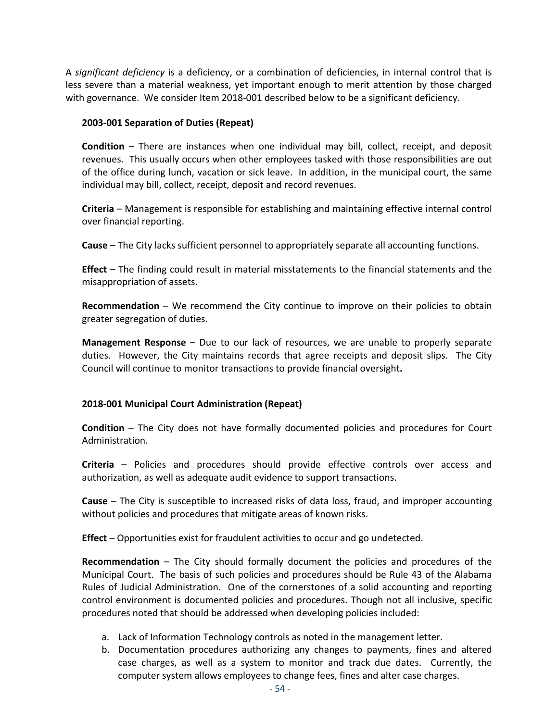A *significant deficiency* is a deficiency, or a combination of deficiencies, in internal control that is less severe than a material weakness, yet important enough to merit attention by those charged with governance. We consider Item 2018-001 described below to be a significant deficiency.

### **2003‐001 Separation of Duties (Repeat)**

**Condition** – There are instances when one individual may bill, collect, receipt, and deposit revenues. This usually occurs when other employees tasked with those responsibilities are out of the office during lunch, vacation or sick leave. In addition, in the municipal court, the same individual may bill, collect, receipt, deposit and record revenues.

**Criteria** – Management is responsible for establishing and maintaining effective internal control over financial reporting.

**Cause** – The City lacks sufficient personnel to appropriately separate all accounting functions.

**Effect** – The finding could result in material misstatements to the financial statements and the misappropriation of assets.

**Recommendation** – We recommend the City continue to improve on their policies to obtain greater segregation of duties.

**Management Response** – Due to our lack of resources, we are unable to properly separate duties. However, the City maintains records that agree receipts and deposit slips. The City Council will continue to monitor transactions to provide financial oversight**.** 

### **2018‐001 Municipal Court Administration (Repeat)**

**Condition** – The City does not have formally documented policies and procedures for Court Administration.

**Criteria**  – Policies and procedures should provide effective controls over access and authorization, as well as adequate audit evidence to support transactions.

**Cause** – The City is susceptible to increased risks of data loss, fraud, and improper accounting without policies and procedures that mitigate areas of known risks.

**Effect** – Opportunities exist for fraudulent activities to occur and go undetected.

**Recommendation** – The City should formally document the policies and procedures of the Municipal Court. The basis of such policies and procedures should be Rule 43 of the Alabama Rules of Judicial Administration. One of the cornerstones of a solid accounting and reporting control environment is documented policies and procedures. Though not all inclusive, specific procedures noted that should be addressed when developing policies included:

- a. Lack of Information Technology controls as noted in the management letter.
- b. Documentation procedures authorizing any changes to payments, fines and altered case charges, as well as a system to monitor and track due dates. Currently, the computer system allows employees to change fees, fines and alter case charges.